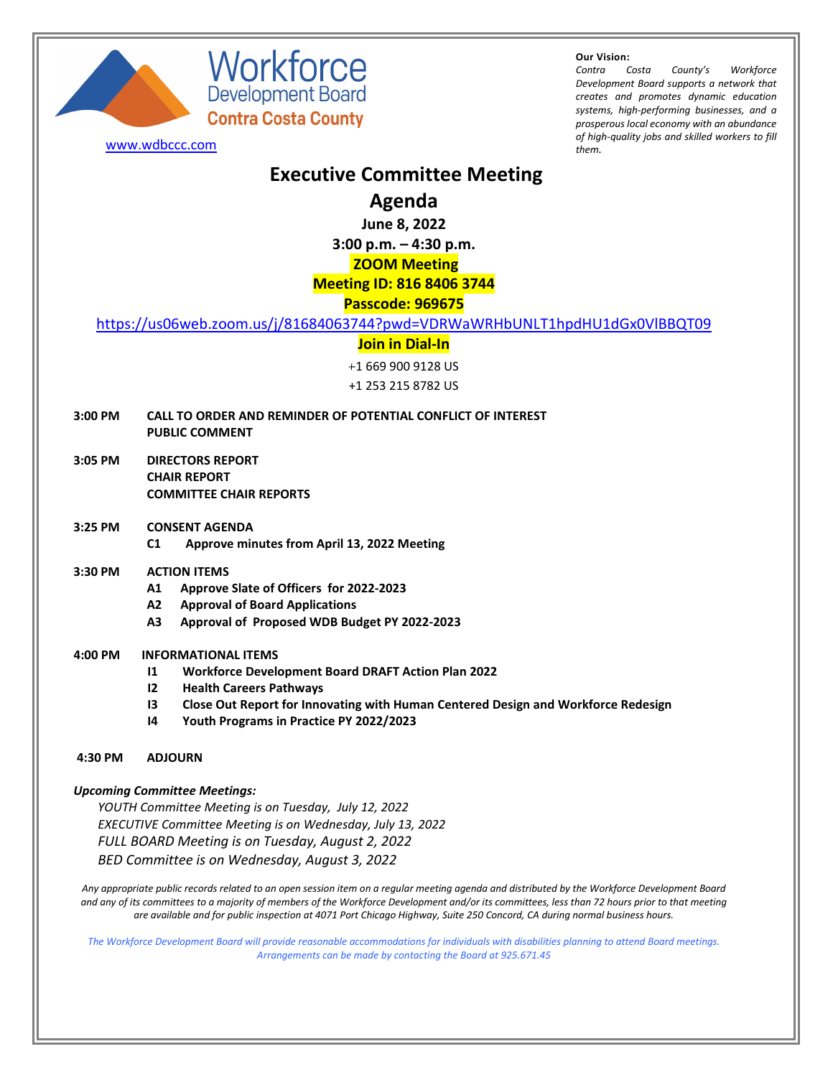

Workforce Development Board **Contra Costa County** 

**Our Vision:**

*Contra Costa County's Workforce Development Board supports a network that creates and promotes dynamic education systems, high-performing businesses, and a prosperous local economy with an abundance of high-quality jobs and skilled workers to fill* [www.wdbccc.com](http://www.wdbccc.com/) *them.*

# **Executive Committee Meeting**

**Agenda**

**June 8, 2022**

**3:00 p.m. – 4:30 p.m.**

### **ZOOM Meeting**

# **Meeting ID: 816 8406 3744**

### **Passcode: 969675**

<https://us06web.zoom.us/j/81684063744?pwd=VDRWaWRHbUNLT1hpdHU1dGx0VlBBQT09>

#### **Join in Dial-In**

+1 669 900 9128 US

+1 253 215 8782 US

- **3:00 PM CALL TO ORDER AND REMINDER OF POTENTIAL CONFLICT OF INTEREST PUBLIC COMMENT**
- **3:05 PM DIRECTORS REPORT CHAIR REPORT COMMITTEE CHAIR REPORTS**
- **3:25 PM CONSENT AGENDA C1 Approve minutes from April 13, 2022 Meeting**
- **3:30 PM ACTION ITEMS**
	- **A1 Approve Slate of Officers for 2022-2023**
	- **A2 Approval of Board Applications**
	- **A3 Approval of Proposed WDB Budget PY 2022-2023**

#### **4:00 PM INFORMATIONAL ITEMS**

- **I1 Workforce Development Board DRAFT Action Plan 2022**
- **I2 Health Careers Pathways**
- **I3 Close Out Report for Innovating with Human Centered Design and Workforce Redesign**
- **I4 Youth Programs in Practice PY 2022/2023**

#### **4:30 PM ADJOURN**

#### *Upcoming Committee Meetings:*

*YOUTH Committee Meeting is on Tuesday, July 12, 2022 EXECUTIVE Committee Meeting is on Wednesday, July 13, 2022 FULL BOARD Meeting is on Tuesday, August 2, 2022 BED Committee is on Wednesday, August 3, 2022*

*Any appropriate public records related to an open session item on a regular meeting agenda and distributed by the Workforce Development Board and any of its committees to a majority of members of the Workforce Development and/or its committees, less than 72 hours prior to that meeting are available and for public inspection at 4071 Port Chicago Highway, Suite 250 Concord, CA during normal business hours.*

*The Workforce Development Board will provide reasonable accommodations for individuals with disabilities planning to attend Board meetings. Arrangements can be made by contacting the Board at 925.671.45*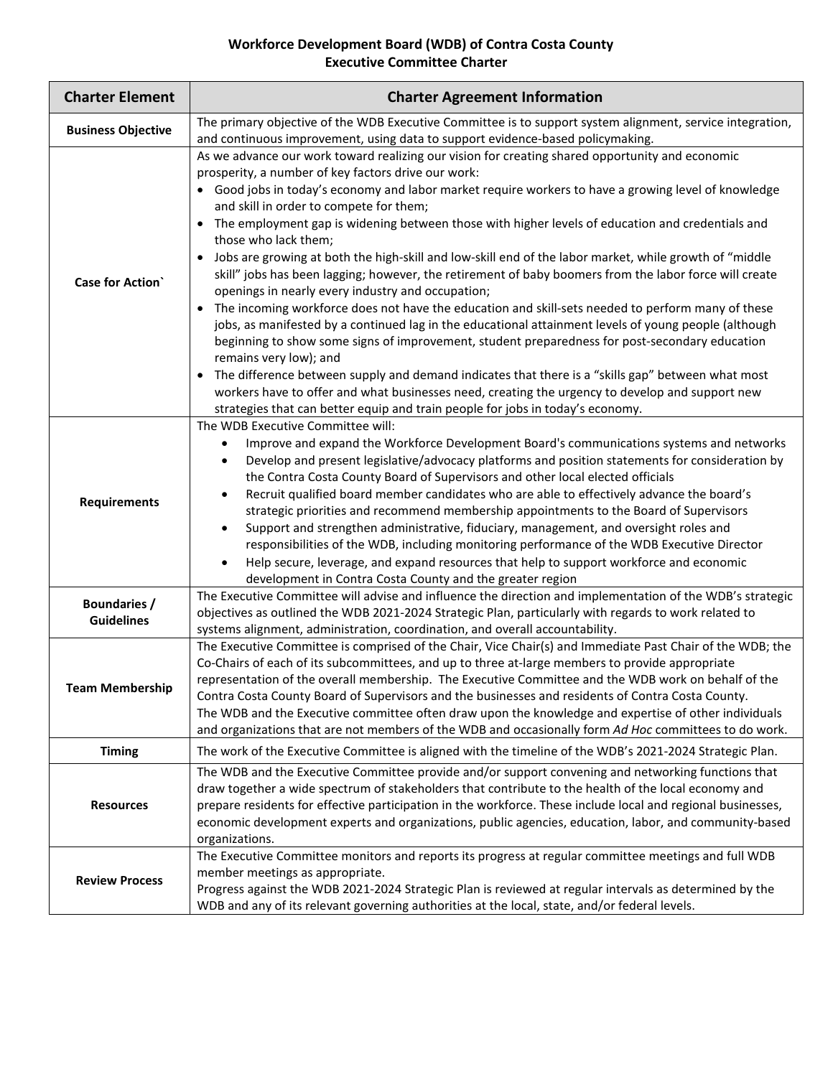# **Workforce Development Board (WDB) of Contra Costa County Executive Committee Charter**

| <b>Charter Element</b>                   | <b>Charter Agreement Information</b>                                                                                                                                                                                                                                                                                                                                                                                                                                                                                                                                                                                                                                                                                                                                                                                                                                                                                                                                                                                                                                                                                                                                                                                                                                                                                                                                       |  |  |  |  |  |
|------------------------------------------|----------------------------------------------------------------------------------------------------------------------------------------------------------------------------------------------------------------------------------------------------------------------------------------------------------------------------------------------------------------------------------------------------------------------------------------------------------------------------------------------------------------------------------------------------------------------------------------------------------------------------------------------------------------------------------------------------------------------------------------------------------------------------------------------------------------------------------------------------------------------------------------------------------------------------------------------------------------------------------------------------------------------------------------------------------------------------------------------------------------------------------------------------------------------------------------------------------------------------------------------------------------------------------------------------------------------------------------------------------------------------|--|--|--|--|--|
| <b>Business Objective</b>                | The primary objective of the WDB Executive Committee is to support system alignment, service integration,<br>and continuous improvement, using data to support evidence-based policymaking.                                                                                                                                                                                                                                                                                                                                                                                                                                                                                                                                                                                                                                                                                                                                                                                                                                                                                                                                                                                                                                                                                                                                                                                |  |  |  |  |  |
| <b>Case for Action</b>                   | As we advance our work toward realizing our vision for creating shared opportunity and economic<br>prosperity, a number of key factors drive our work:<br>Good jobs in today's economy and labor market require workers to have a growing level of knowledge<br>and skill in order to compete for them;<br>The employment gap is widening between those with higher levels of education and credentials and<br>$\bullet$<br>those who lack them;<br>Jobs are growing at both the high-skill and low-skill end of the labor market, while growth of "middle<br>skill" jobs has been lagging; however, the retirement of baby boomers from the labor force will create<br>openings in nearly every industry and occupation;<br>The incoming workforce does not have the education and skill-sets needed to perform many of these<br>jobs, as manifested by a continued lag in the educational attainment levels of young people (although<br>beginning to show some signs of improvement, student preparedness for post-secondary education<br>remains very low); and<br>The difference between supply and demand indicates that there is a "skills gap" between what most<br>$\bullet$<br>workers have to offer and what businesses need, creating the urgency to develop and support new<br>strategies that can better equip and train people for jobs in today's economy. |  |  |  |  |  |
| <b>Requirements</b>                      | The WDB Executive Committee will:<br>Improve and expand the Workforce Development Board's communications systems and networks<br>$\bullet$<br>Develop and present legislative/advocacy platforms and position statements for consideration by<br>$\bullet$<br>the Contra Costa County Board of Supervisors and other local elected officials<br>Recruit qualified board member candidates who are able to effectively advance the board's<br>$\bullet$<br>strategic priorities and recommend membership appointments to the Board of Supervisors<br>Support and strengthen administrative, fiduciary, management, and oversight roles and<br>$\bullet$<br>responsibilities of the WDB, including monitoring performance of the WDB Executive Director<br>Help secure, leverage, and expand resources that help to support workforce and economic<br>$\bullet$<br>development in Contra Costa County and the greater region                                                                                                                                                                                                                                                                                                                                                                                                                                                 |  |  |  |  |  |
| <b>Boundaries /</b><br><b>Guidelines</b> | The Executive Committee will advise and influence the direction and implementation of the WDB's strategic<br>objectives as outlined the WDB 2021-2024 Strategic Plan, particularly with regards to work related to<br>systems alignment, administration, coordination, and overall accountability.                                                                                                                                                                                                                                                                                                                                                                                                                                                                                                                                                                                                                                                                                                                                                                                                                                                                                                                                                                                                                                                                         |  |  |  |  |  |
| <b>Team Membership</b>                   | The Executive Committee is comprised of the Chair, Vice Chair(s) and Immediate Past Chair of the WDB; the<br>Co-Chairs of each of its subcommittees, and up to three at-large members to provide appropriate<br>representation of the overall membership. The Executive Committee and the WDB work on behalf of the<br>Contra Costa County Board of Supervisors and the businesses and residents of Contra Costa County.<br>The WDB and the Executive committee often draw upon the knowledge and expertise of other individuals<br>and organizations that are not members of the WDB and occasionally form Ad Hoc committees to do work.                                                                                                                                                                                                                                                                                                                                                                                                                                                                                                                                                                                                                                                                                                                                  |  |  |  |  |  |
| <b>Timing</b>                            | The work of the Executive Committee is aligned with the timeline of the WDB's 2021-2024 Strategic Plan.                                                                                                                                                                                                                                                                                                                                                                                                                                                                                                                                                                                                                                                                                                                                                                                                                                                                                                                                                                                                                                                                                                                                                                                                                                                                    |  |  |  |  |  |
| <b>Resources</b>                         | The WDB and the Executive Committee provide and/or support convening and networking functions that<br>draw together a wide spectrum of stakeholders that contribute to the health of the local economy and<br>prepare residents for effective participation in the workforce. These include local and regional businesses,<br>economic development experts and organizations, public agencies, education, labor, and community-based<br>organizations.                                                                                                                                                                                                                                                                                                                                                                                                                                                                                                                                                                                                                                                                                                                                                                                                                                                                                                                     |  |  |  |  |  |
| <b>Review Process</b>                    | The Executive Committee monitors and reports its progress at regular committee meetings and full WDB<br>member meetings as appropriate.<br>Progress against the WDB 2021-2024 Strategic Plan is reviewed at regular intervals as determined by the<br>WDB and any of its relevant governing authorities at the local, state, and/or federal levels.                                                                                                                                                                                                                                                                                                                                                                                                                                                                                                                                                                                                                                                                                                                                                                                                                                                                                                                                                                                                                        |  |  |  |  |  |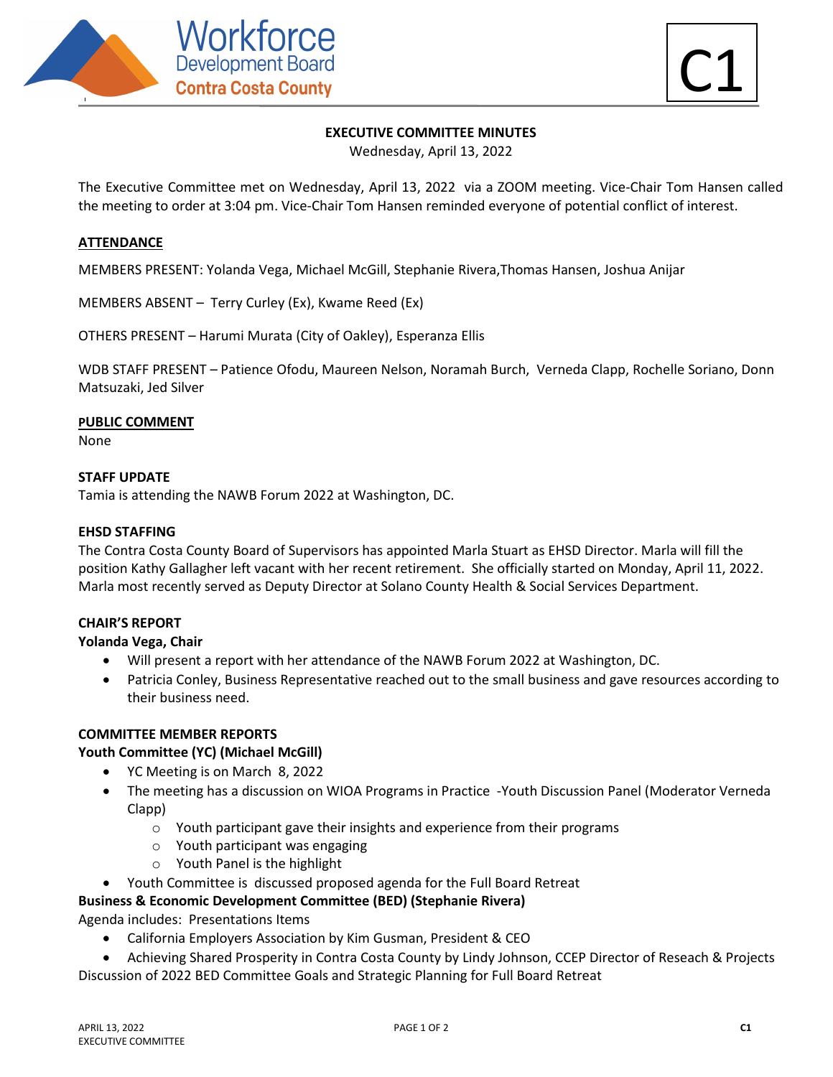



#### **EXECUTIVE COMMITTEE MINUTES**

Wednesday, April 13, 2022

The Executive Committee met on Wednesday, April 13, 2022 via a ZOOM meeting. Vice-Chair Tom Hansen called the meeting to order at 3:04 pm. Vice-Chair Tom Hansen reminded everyone of potential conflict of interest.

#### **ATTENDANCE**

MEMBERS PRESENT: Yolanda Vega, Michael McGill, Stephanie Rivera,Thomas Hansen, Joshua Anijar

MEMBERS ABSENT – Terry Curley (Ex), Kwame Reed (Ex)

OTHERS PRESENT – Harumi Murata (City of Oakley), Esperanza Ellis

WDB STAFF PRESENT – Patience Ofodu, Maureen Nelson, Noramah Burch, Verneda Clapp, Rochelle Soriano, Donn Matsuzaki, Jed Silver

#### **PUBLIC COMMENT**

None

#### **STAFF UPDATE**

Tamia is attending the NAWB Forum 2022 at Washington, DC.

#### **EHSD STAFFING**

The Contra Costa County Board of Supervisors has appointed Marla Stuart as EHSD Director. Marla will fill the position Kathy Gallagher left vacant with her recent retirement. She officially started on Monday, April 11, 2022. Marla most recently served as Deputy Director at Solano County Health & Social Services Department.

#### **CHAIR'S REPORT**

**Yolanda Vega, Chair**

- Will present a report with her attendance of the NAWB Forum 2022 at Washington, DC.
- Patricia Conley, Business Representative reached out to the small business and gave resources according to their business need.

#### **COMMITTEE MEMBER REPORTS**

#### **Youth Committee (YC) (Michael McGill)**

- YC Meeting is on March 8, 2022
- The meeting has a discussion on WIOA Programs in Practice -Youth Discussion Panel (Moderator Verneda Clapp)
	- o Youth participant gave their insights and experience from their programs
	- o Youth participant was engaging
	- o Youth Panel is the highlight
- Youth Committee is discussed proposed agenda for the Full Board Retreat

#### **Business & Economic Development Committee (BED) (Stephanie Rivera)**

Agenda includes: Presentations Items

- California Employers Association by Kim Gusman, President & CEO
- Achieving Shared Prosperity in Contra Costa County by Lindy Johnson, CCEP Director of Reseach & Projects Discussion of 2022 BED Committee Goals and Strategic Planning for Full Board Retreat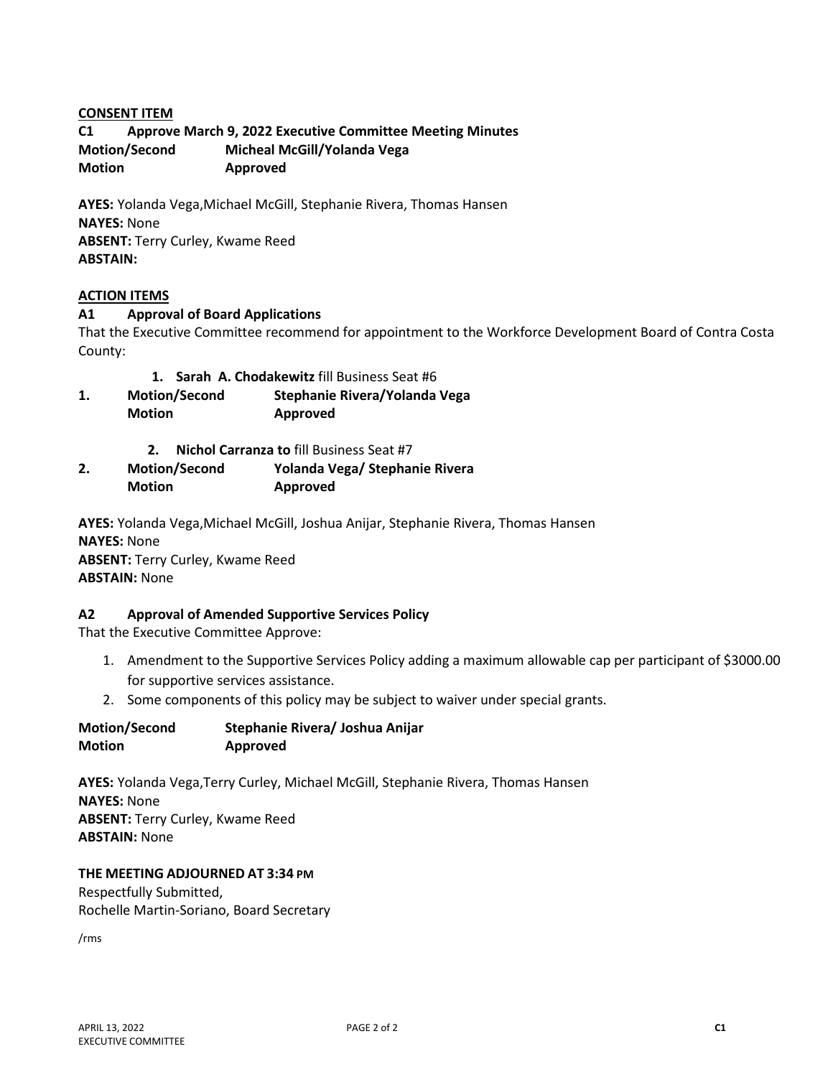#### **CONSENT ITEM**

**C1 Approve March 9, 2022 Executive Committee Meeting Minutes Motion/Second Micheal McGill/Yolanda Vega Motion Approved** 

**AYES:** Yolanda Vega,Michael McGill, Stephanie Rivera, Thomas Hansen **NAYES:** None **ABSENT:** Terry Curley, Kwame Reed **ABSTAIN:**

#### **ACTION ITEMS**

#### **A1 Approval of Board Applications**

That the Executive Committee recommend for appointment to the Workforce Development Board of Contra Costa County:

- **1. Sarah A. Chodakewitz** fill Business Seat #6
- **1. Motion/Second Stephanie Rivera/Yolanda Vega Motion Approved** 
	- **2. Nichol Carranza to** fill Business Seat #7
- **2. Motion/Second Yolanda Vega/ Stephanie Rivera Motion Approved**

**AYES:** Yolanda Vega,Michael McGill, Joshua Anijar, Stephanie Rivera, Thomas Hansen **NAYES:** None **ABSENT:** Terry Curley, Kwame Reed **ABSTAIN:** None

#### **A2 Approval of Amended Supportive Services Policy**

That the Executive Committee Approve:

- 1. Amendment to the Supportive Services Policy adding a maximum allowable cap per participant of \$3000.00 for supportive services assistance.
- 2. Some components of this policy may be subject to waiver under special grants.

| <b>Motion/Second</b> | Stephanie Rivera/ Joshua Anijar |
|----------------------|---------------------------------|
| <b>Motion</b>        | Approved                        |

**AYES:** Yolanda Vega,Terry Curley, Michael McGill, Stephanie Rivera, Thomas Hansen **NAYES:** None **ABSENT:** Terry Curley, Kwame Reed **ABSTAIN:** None

#### **THE MEETING ADJOURNED AT 3:34 PM**

Respectfully Submitted, Rochelle Martin-Soriano, Board Secretary

/rms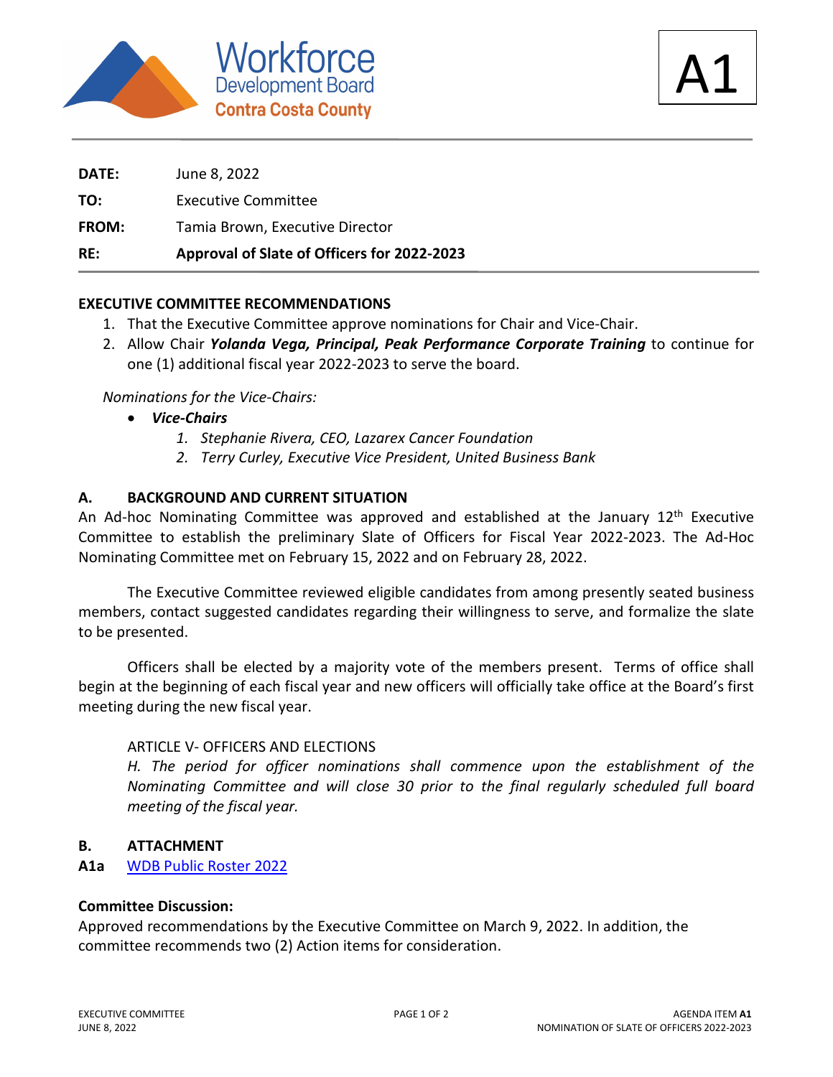



**DATE:** June 8, 2022 **TO:** Executive Committee **FROM:** Tamia Brown, Executive Director **RE: Approval of Slate of Officers for 2022-2023**

# **EXECUTIVE COMMITTEE RECOMMENDATIONS**

- 1. That the Executive Committee approve nominations for Chair and Vice-Chair.
- 2. Allow Chair *Yolanda Vega, Principal, Peak Performance Corporate Training* to continue for one (1) additional fiscal year 2022-2023 to serve the board.

# *Nominations for the Vice-Chairs:*

- *Vice-Chairs*
	- *1. Stephanie Rivera, CEO, Lazarex Cancer Foundation*
	- *2. Terry Curley, Executive Vice President, United Business Bank*

# **A. BACKGROUND AND CURRENT SITUATION**

An Ad-hoc Nominating Committee was approved and established at the January 12<sup>th</sup> Executive Committee to establish the preliminary Slate of Officers for Fiscal Year 2022-2023. The Ad-Hoc Nominating Committee met on February 15, 2022 and on February 28, 2022.

The Executive Committee reviewed eligible candidates from among presently seated business members, contact suggested candidates regarding their willingness to serve, and formalize the slate to be presented.

Officers shall be elected by a majority vote of the members present. Terms of office shall begin at the beginning of each fiscal year and new officers will officially take office at the Board's first meeting during the new fiscal year.

# ARTICLE V- OFFICERS AND ELECTIONS

*H. The period for officer nominations shall commence upon the establishment of the Nominating Committee and will close 30 prior to the final regularly scheduled full board meeting of the fiscal year.*

# **B. ATTACHMENT**

**A1a** WDB Public Roster 2022

# **Committee Discussion:**

Approved recommendations by the Executive Committee on March 9, 2022. In addition, the committee recommends two (2) Action items for consideration.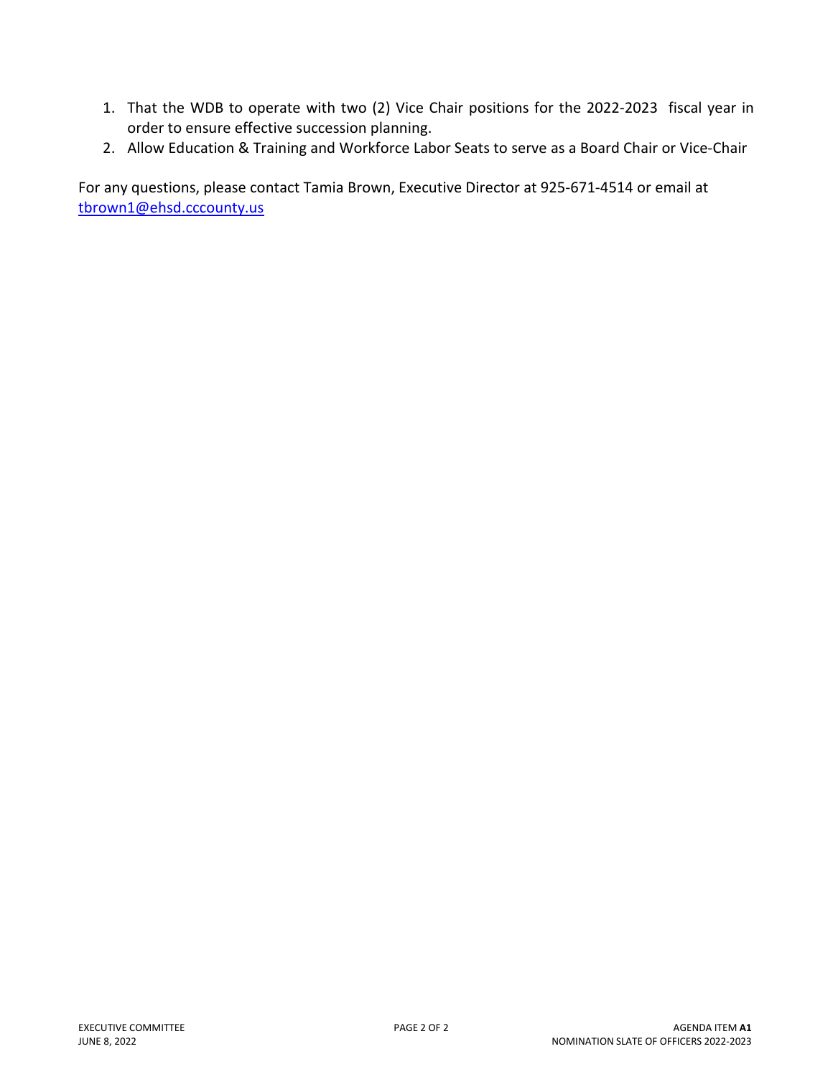- 1. That the WDB to operate with two (2) Vice Chair positions for the 2022-2023 fiscal year in order to ensure effective succession planning.
- 2. Allow Education & Training and Workforce Labor Seats to serve as a Board Chair or Vice-Chair

For any questions, please contact Tamia Brown, Executive Director at 925-671-4514 or email at tbrown1@ehsd.cccounty.us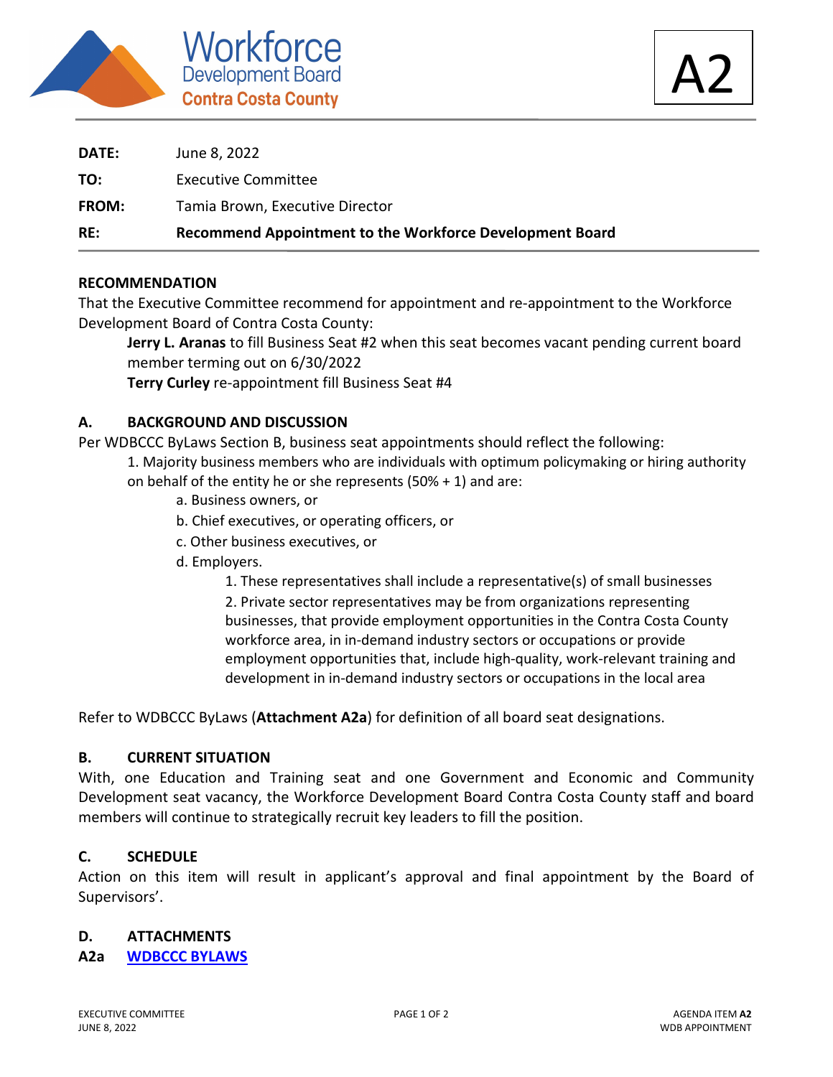



| RE:          | Recommend Appointment to the Workforce Development Board |
|--------------|----------------------------------------------------------|
| <b>FROM:</b> | Tamia Brown, Executive Director                          |
| TO:          | <b>Executive Committee</b>                               |
| DATE:        | June 8, 2022                                             |

# **RECOMMENDATION**

That the Executive Committee recommend for appointment and re-appointment to the Workforce Development Board of Contra Costa County:

**Jerry L. Aranas** to fill Business Seat #2 when this seat becomes vacant pending current board member terming out on 6/30/2022

**Terry Curley** re-appointment fill Business Seat #4

# **A. BACKGROUND AND DISCUSSION**

Per WDBCCC ByLaws Section B, business seat appointments should reflect the following:

- 1. Majority business members who are individuals with optimum policymaking or hiring authority on behalf of the entity he or she represents  $(50% + 1)$  and are:
	- a. Business owners, or
	- b. Chief executives, or operating officers, or
	- c. Other business executives, or
	- d. Employers.

1. These representatives shall include a representative(s) of small businesses 2. Private sector representatives may be from organizations representing businesses, that provide employment opportunities in the Contra Costa County workforce area, in in-demand industry sectors or occupations or provide employment opportunities that, include high-quality, work-relevant training and development in in-demand industry sectors or occupations in the local area

Refer to WDBCCC ByLaws (**Attachment A2a**) for definition of all board seat designations.

# **B. CURRENT SITUATION**

With, one Education and Training seat and one Government and Economic and Community Development seat vacancy, the Workforce Development Board Contra Costa County staff and board members will continue to strategically recruit key leaders to fill the position.

# **C. SCHEDULE**

Action on this item will result in applicant's approval and final appointment by the Board of Supervisors'.

# **D. ATTACHMENTS**

# **A2a WDBCCC BYLAWS**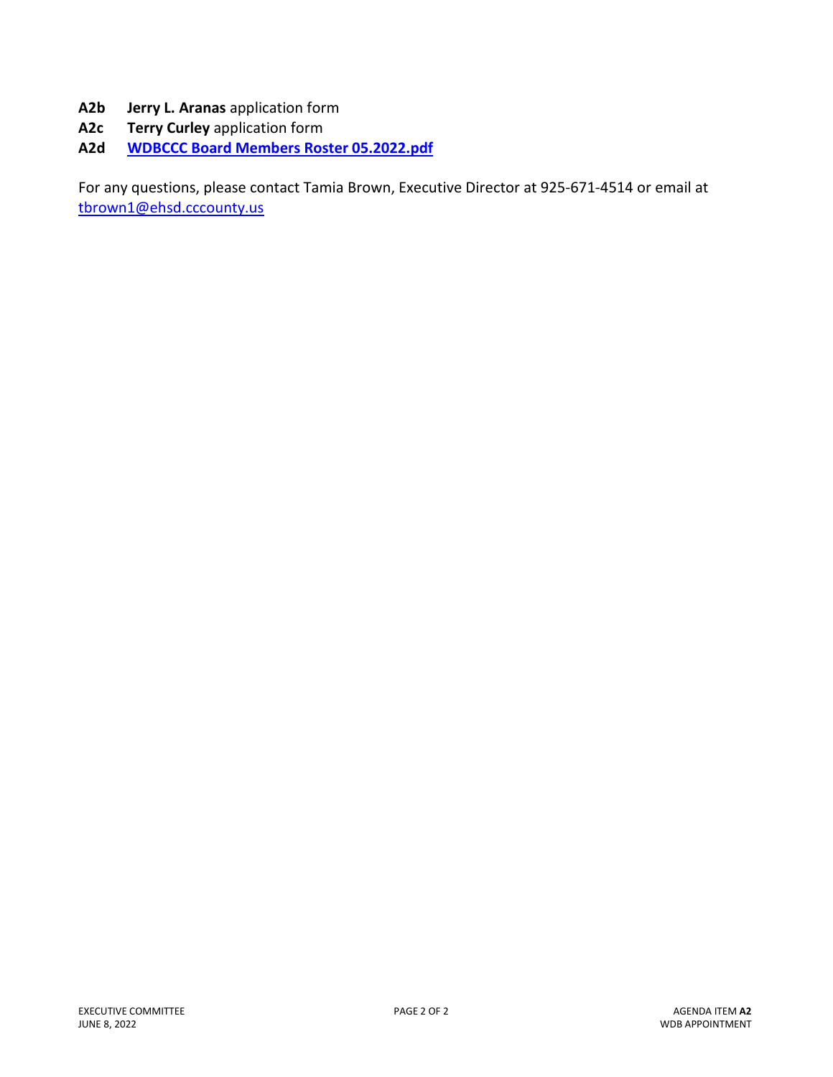- **A2b Jerry L. Aranas** application form
- **A2c Terry Curley** application form
- **A2d WDBCCC Board Members Roster 05.2022.pdf**

For any questions, please contact Tamia Brown, Executive Director at 925-671-4514 or email at tbrown1@ehsd.cccounty.us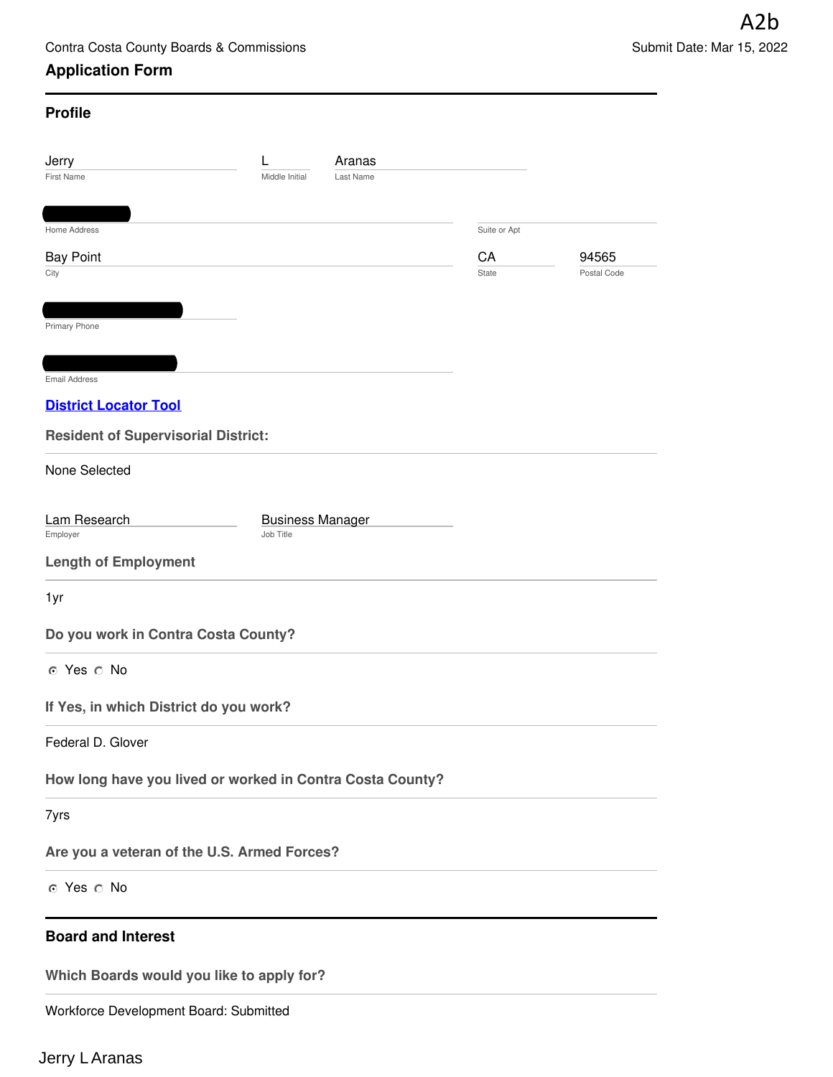# **Application Form**

| <b>Profile</b>                                            |                                      |                     |              |                      |
|-----------------------------------------------------------|--------------------------------------|---------------------|--------------|----------------------|
| Jerry<br><b>First Name</b>                                | Middle Initial                       | Aranas<br>Last Name |              |                      |
|                                                           |                                      |                     |              |                      |
| Home Address                                              |                                      |                     | Suite or Apt |                      |
| <b>Bay Point</b><br>City                                  |                                      |                     | CA<br>State  | 94565<br>Postal Code |
|                                                           |                                      |                     |              |                      |
| Primary Phone                                             |                                      |                     |              |                      |
| <b>Email Address</b>                                      |                                      |                     |              |                      |
| <b>District Locator Tool</b>                              |                                      |                     |              |                      |
| <b>Resident of Supervisorial District:</b>                |                                      |                     |              |                      |
| None Selected                                             |                                      |                     |              |                      |
|                                                           |                                      |                     |              |                      |
| Lam Research<br>Employer                                  | <b>Business Manager</b><br>Job Title |                     |              |                      |
| <b>Length of Employment</b>                               |                                      |                     |              |                      |
| 1yr                                                       |                                      |                     |              |                      |
| Do you work in Contra Costa County?                       |                                      |                     |              |                      |
| ⊙ Yes ∩ No                                                |                                      |                     |              |                      |
| If Yes, in which District do you work?                    |                                      |                     |              |                      |
| Federal D. Glover                                         |                                      |                     |              |                      |
| How long have you lived or worked in Contra Costa County? |                                      |                     |              |                      |
| 7yrs                                                      |                                      |                     |              |                      |
| Are you a veteran of the U.S. Armed Forces?               |                                      |                     |              |                      |
| ⊙ Yes ∩ No                                                |                                      |                     |              |                      |
|                                                           |                                      |                     |              |                      |
| <b>Board and Interest</b>                                 |                                      |                     |              |                      |
| Which Boards would you like to apply for?                 |                                      |                     |              |                      |

Workforce Development Board: Submitted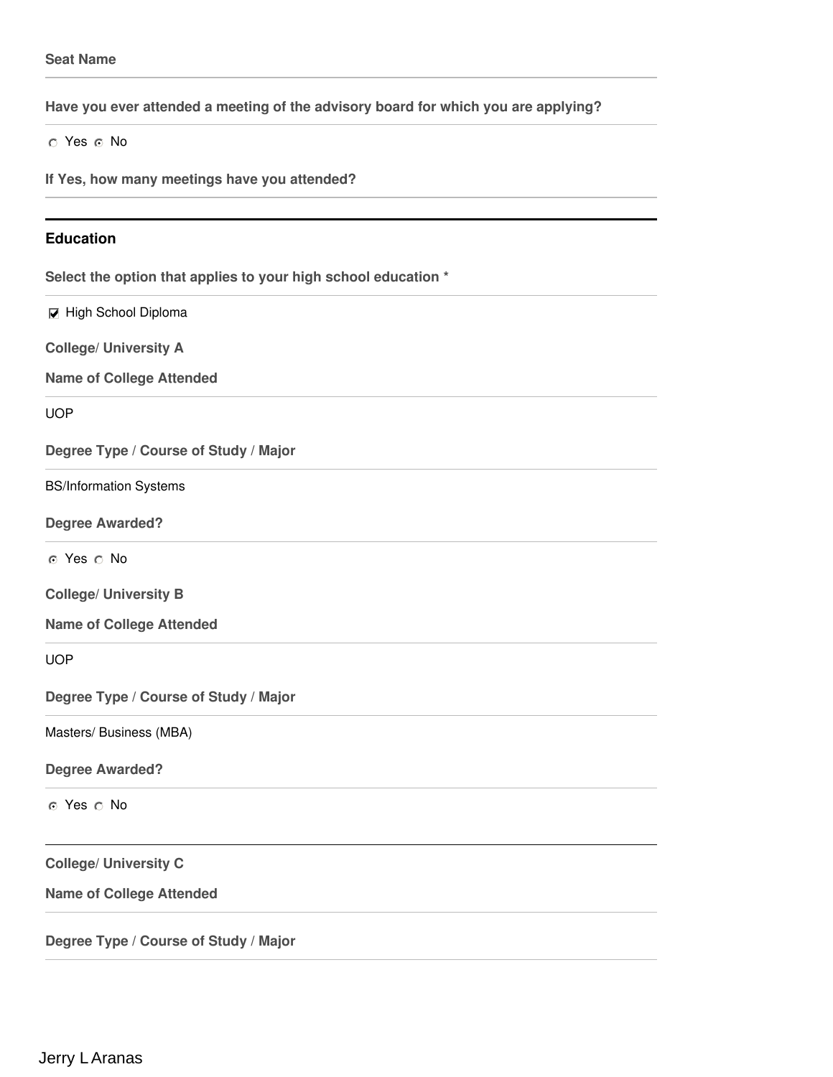**Have you ever attended a meeting of the advisory board for which you are applying?**

 $\circ$  Yes  $\circ$  No

**If Yes, how many meetings have you attended?**

#### **Education**

**Select the option that applies to your high school education \***

 $⊓$  High School Diploma

**College/ University A**

**Name of College Attended**

UOP

**Degree Type / Course of Study / Major**

BS/Information Systems

**Degree Awarded?**

⊙ Yes ∩ No

**College/ University B**

**Name of College Attended**

UOP

**Degree Type / Course of Study / Major**

Masters/ Business (MBA)

**Degree Awarded?**

o Yes o No

**College/ University C**

**Name of College Attended**

**Degree Type / Course of Study / Major**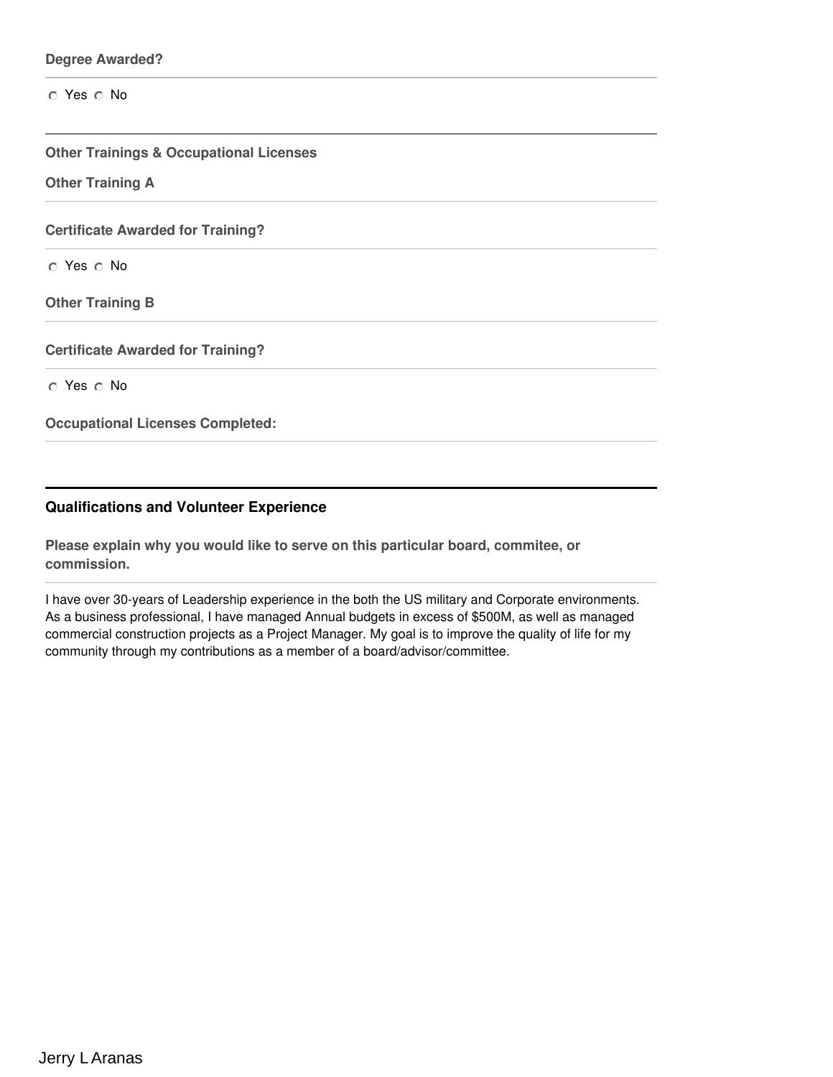#### **Degree Awarded?**

 $\circ$  Yes  $\circ$  No

**Other Trainings & Occupational Licenses**

**Other Training A**

**Certificate Awarded for Training?**

 $\circ$  Yes  $\circ$  No

**Other Training B**

**Certificate Awarded for Training?**

O Yes O No

**Occupational Licenses Completed:**

#### **Qualifications and Volunteer Experience**

**Please explain why you would like to serve on this particular board, commitee, or commission.**

I have over 30-years of Leadership experience in the both the US military and Corporate environments. As a business professional, I have managed Annual budgets in excess of \$500M, as well as managed commercial construction projects as a Project Manager. My goal is to improve the quality of life for my community through my contributions as a member of a board/advisor/committee.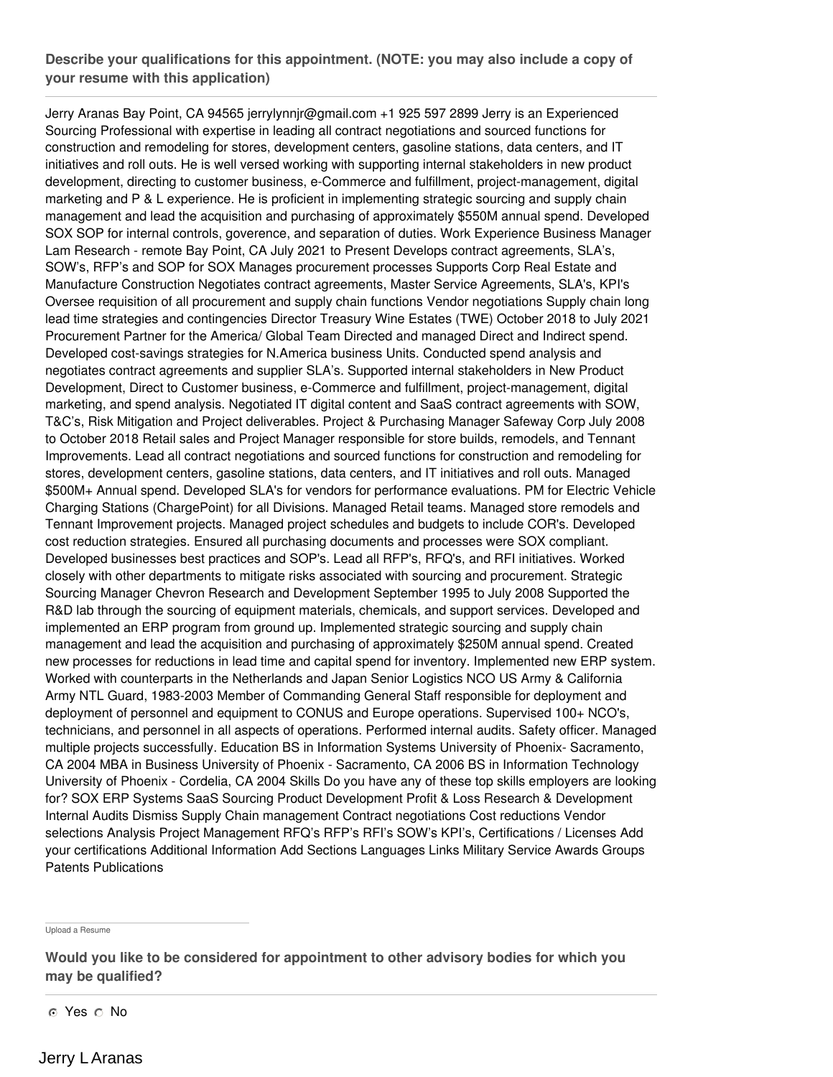# **Describe your qualifications for this appointment. (NOTE: you may also include a copy of your resume with this application)**

Jerry Aranas Bay Point, CA 94565 jerrylynnjr@gmail.com +1 925 597 2899 Jerry is an Experienced Sourcing Professional with expertise in leading all contract negotiations and sourced functions for construction and remodeling for stores, development centers, gasoline stations, data centers, and IT initiatives and roll outs. He is well versed working with supporting internal stakeholders in new product development, directing to customer business, e-Commerce and fulfillment, project-management, digital marketing and P & L experience. He is proficient in implementing strategic sourcing and supply chain management and lead the acquisition and purchasing of approximately \$550M annual spend. Developed SOX SOP for internal controls, goverence, and separation of duties. Work Experience Business Manager Lam Research - remote Bay Point, CA July 2021 to Present Develops contract agreements, SLA's, SOW's, RFP's and SOP for SOX Manages procurement processes Supports Corp Real Estate and Manufacture Construction Negotiates contract agreements, Master Service Agreements, SLA's, KPI's Oversee requisition of all procurement and supply chain functions Vendor negotiations Supply chain long lead time strategies and contingencies Director Treasury Wine Estates (TWE) October 2018 to July 2021 Procurement Partner for the America/ Global Team Directed and managed Direct and Indirect spend. Developed cost-savings strategies for N.America business Units. Conducted spend analysis and negotiates contract agreements and supplier SLA's. Supported internal stakeholders in New Product Development, Direct to Customer business, e-Commerce and fulfillment, project-management, digital marketing, and spend analysis. Negotiated IT digital content and SaaS contract agreements with SOW, T&C's, Risk Mitigation and Project deliverables. Project & Purchasing Manager Safeway Corp July 2008 to October 2018 Retail sales and Project Manager responsible for store builds, remodels, and Tennant Improvements. Lead all contract negotiations and sourced functions for construction and remodeling for stores, development centers, gasoline stations, data centers, and IT initiatives and roll outs. Managed \$500M+ Annual spend. Developed SLA's for vendors for performance evaluations. PM for Electric Vehicle Charging Stations (ChargePoint) for all Divisions. Managed Retail teams. Managed store remodels and Tennant Improvement projects. Managed project schedules and budgets to include COR's. Developed cost reduction strategies. Ensured all purchasing documents and processes were SOX compliant. Developed businesses best practices and SOP's. Lead all RFP's, RFQ's, and RFI initiatives. Worked closely with other departments to mitigate risks associated with sourcing and procurement. Strategic Sourcing Manager Chevron Research and Development September 1995 to July 2008 Supported the R&D lab through the sourcing of equipment materials, chemicals, and support services. Developed and implemented an ERP program from ground up. Implemented strategic sourcing and supply chain management and lead the acquisition and purchasing of approximately \$250M annual spend. Created new processes for reductions in lead time and capital spend for inventory. Implemented new ERP system. Worked with counterparts in the Netherlands and Japan Senior Logistics NCO US Army & California Army NTL Guard, 1983-2003 Member of Commanding General Staff responsible for deployment and deployment of personnel and equipment to CONUS and Europe operations. Supervised 100+ NCO's, technicians, and personnel in all aspects of operations. Performed internal audits. Safety officer. Managed multiple projects successfully. Education BS in Information Systems University of Phoenix- Sacramento, CA 2004 MBA in Business University of Phoenix - Sacramento, CA 2006 BS in Information Technology University of Phoenix - Cordelia, CA 2004 Skills Do you have any of these top skills employers are looking for? SOX ERP Systems SaaS Sourcing Product Development Profit & Loss Research & Development Internal Audits Dismiss Supply Chain management Contract negotiations Cost reductions Vendor selections Analysis Project Management RFQ's RFP's RFI's SOW's KPI's, Certifications / Licenses Add your certifications Additional Information Add Sections Languages Links Military Service Awards Groups Patents Publications

Upload a Resume

**Would you like to be considered for appointment to other advisory bodies for which you may be qualified?**

o Yes o No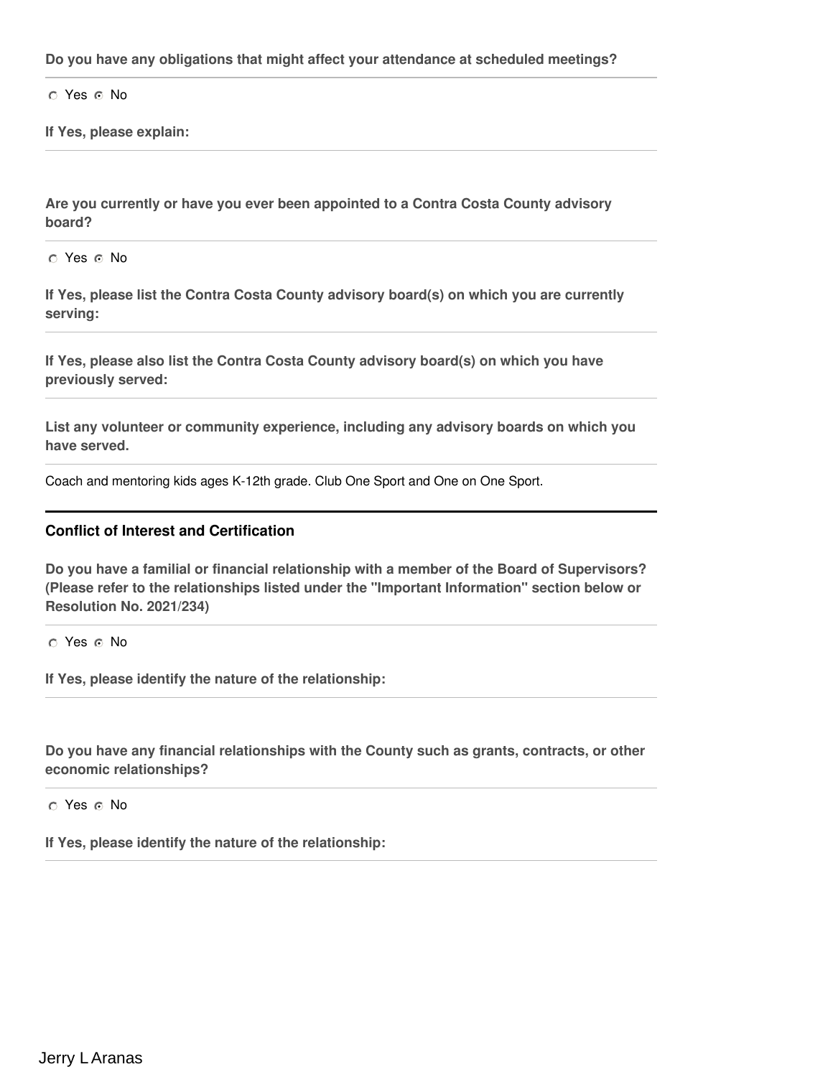**Do you have any obligations that might affect your attendance at scheduled meetings?**

 $\cap$  Yes  $\cap$  No

**If Yes, please explain:**

**Are you currently or have you ever been appointed to a Contra Costa County advisory board?**

o Yes o No

**If Yes, please list the Contra Costa County advisory board(s) on which you are currently serving:**

**If Yes, please also list the Contra Costa County advisory board(s) on which you have previously served:**

**List any volunteer or community experience, including any advisory boards on which you have served.**

Coach and mentoring kids ages K-12th grade. Club One Sport and One on One Sport.

### **Conflict of Interest and Certification**

**Do you have a familial or financial relationship with a member of the Board of Supervisors? (Please refer to the relationships listed under the "Important Information" section below or Resolution No. 2021/234)**

O Yes O No

**If Yes, please identify the nature of the relationship:**

**Do you have any financial relationships with the County such as grants, contracts, or other economic relationships?**

 $O$  Yes  $O$  No

**If Yes, please identify the nature of the relationship:**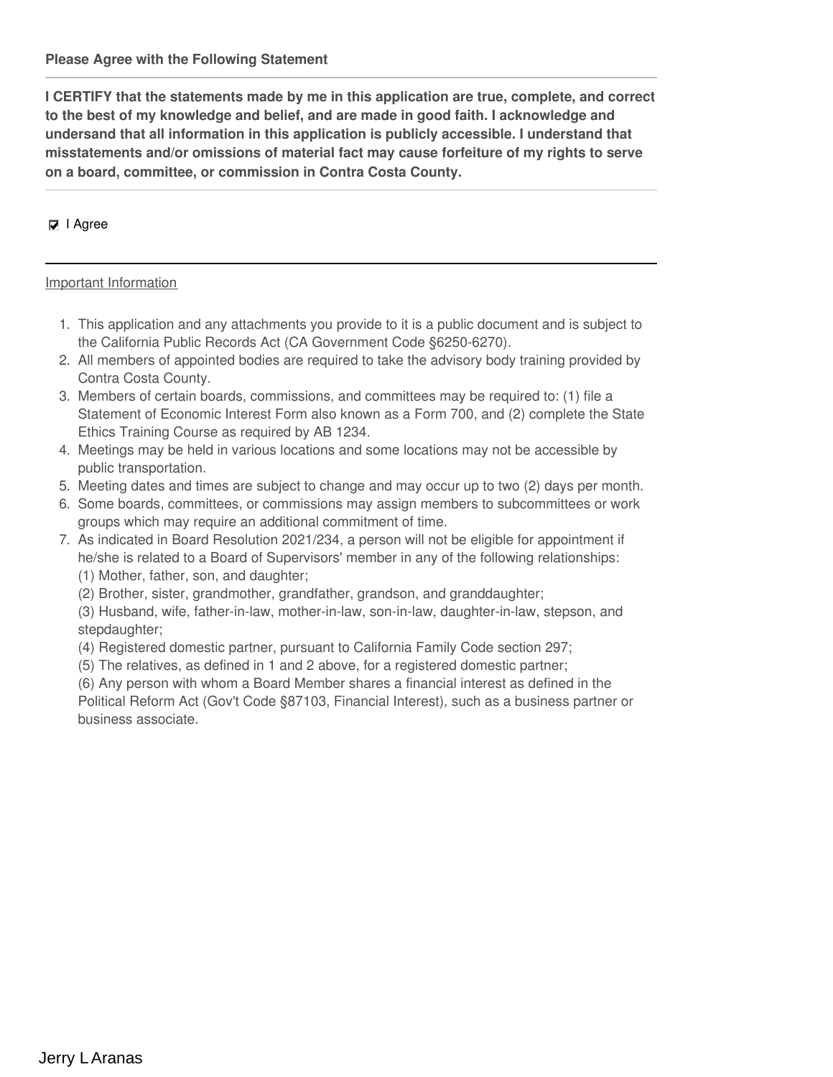**I CERTIFY that the statements made by me in this application are true, complete, and correct to the best of my knowledge and belief, and are made in good faith. I acknowledge and undersand that all information in this application is publicly accessible. I understand that misstatements and/or omissions of material fact may cause forfeiture of my rights to serve on a board, committee, or commission in Contra Costa County.**

### $□$  I Agree

#### Important Information

- 1. This application and any attachments you provide to it is a public document and is subject to the California Public Records Act (CA Government Code §6250-6270).
- 2. All members of appointed bodies are required to take the advisory body training provided by Contra Costa County.
- 3. Members of certain boards, commissions, and committees may be required to: (1) file a Statement of Economic Interest Form also known as a Form 700, and (2) complete the State Ethics Training Course as required by AB 1234.
- 4. Meetings may be held in various locations and some locations may not be accessible by public transportation.
- 5. Meeting dates and times are subject to change and may occur up to two (2) days per month.
- 6. Some boards, committees, or commissions may assign members to subcommittees or work groups which may require an additional commitment of time.
- 7. As indicated in Board Resolution 2021/234, a person will not be eligible for appointment if he/she is related to a Board of Supervisors' member in any of the following relationships: (1) Mother, father, son, and daughter;
	- (2) Brother, sister, grandmother, grandfather, grandson, and granddaughter;
	- (3) Husband, wife, father-in-law, mother-in-law, son-in-law, daughter-in-law, stepson, and stepdaughter;
	- (4) Registered domestic partner, pursuant to California Family Code section 297;
	- (5) The relatives, as defined in 1 and 2 above, for a registered domestic partner;

(6) Any person with whom a Board Member shares a financial interest as defined in the Political Reform Act (Gov't Code §87103, Financial Interest), such as a business partner or business associate.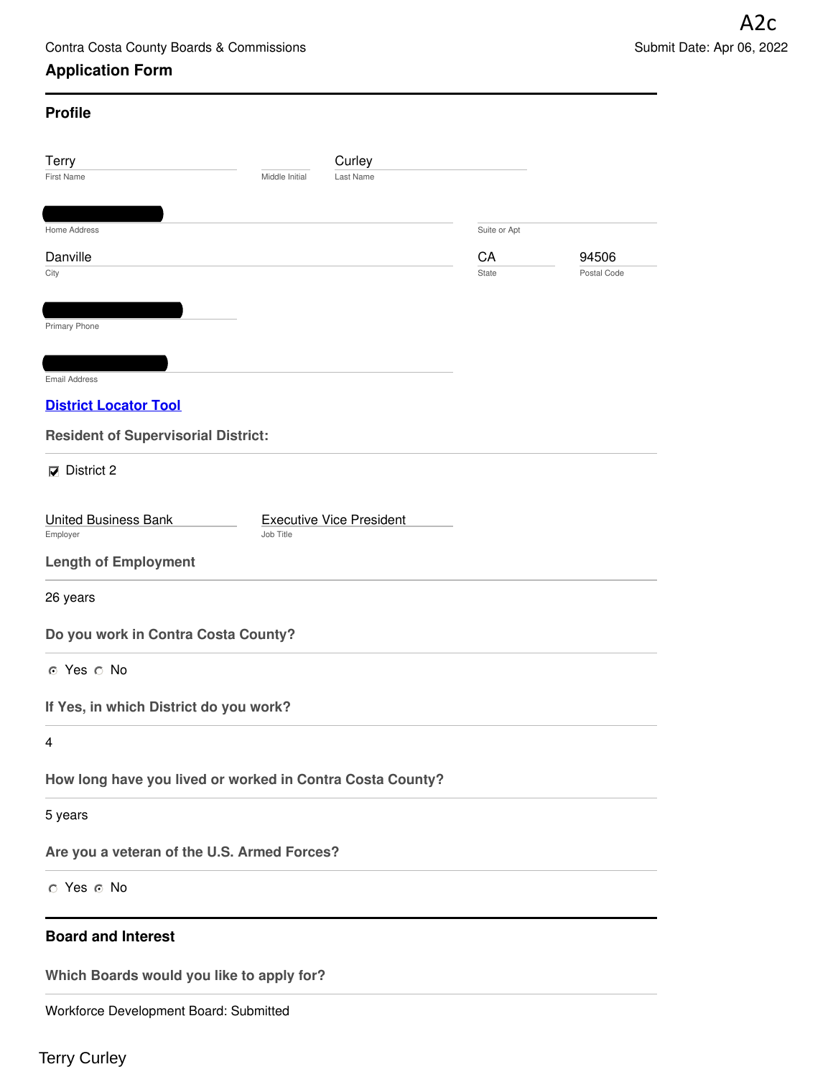# **Application Form**

| <b>Profile</b>                                                 |              |             |
|----------------------------------------------------------------|--------------|-------------|
| Terry<br>Curley                                                |              |             |
| <b>First Name</b><br>Middle Initial<br>Last Name               |              |             |
| Home Address                                                   | Suite or Apt |             |
| Danville                                                       | CA           | 94506       |
| City                                                           | <b>State</b> | Postal Code |
|                                                                |              |             |
| Primary Phone                                                  |              |             |
|                                                                |              |             |
| <b>Email Address</b><br><b>District Locator Tool</b>           |              |             |
|                                                                |              |             |
| <b>Resident of Supervisorial District:</b>                     |              |             |
| $\nabla$ District 2                                            |              |             |
| <b>Executive Vice President</b><br><b>United Business Bank</b> |              |             |
| Job Title<br>Employer                                          |              |             |
| <b>Length of Employment</b>                                    |              |             |
| 26 years                                                       |              |             |
| Do you work in Contra Costa County?                            |              |             |
| ⊙ Yes ∩ No                                                     |              |             |
| If Yes, in which District do you work?                         |              |             |
| 4                                                              |              |             |
| How long have you lived or worked in Contra Costa County?      |              |             |
| 5 years                                                        |              |             |
| Are you a veteran of the U.S. Armed Forces?                    |              |             |
| ⊙ Yes ⊙ No                                                     |              |             |
| <b>Board and Interest</b>                                      |              |             |
| Which Boards would you like to apply for?                      |              |             |
| Workforce Development Board: Submitted                         |              |             |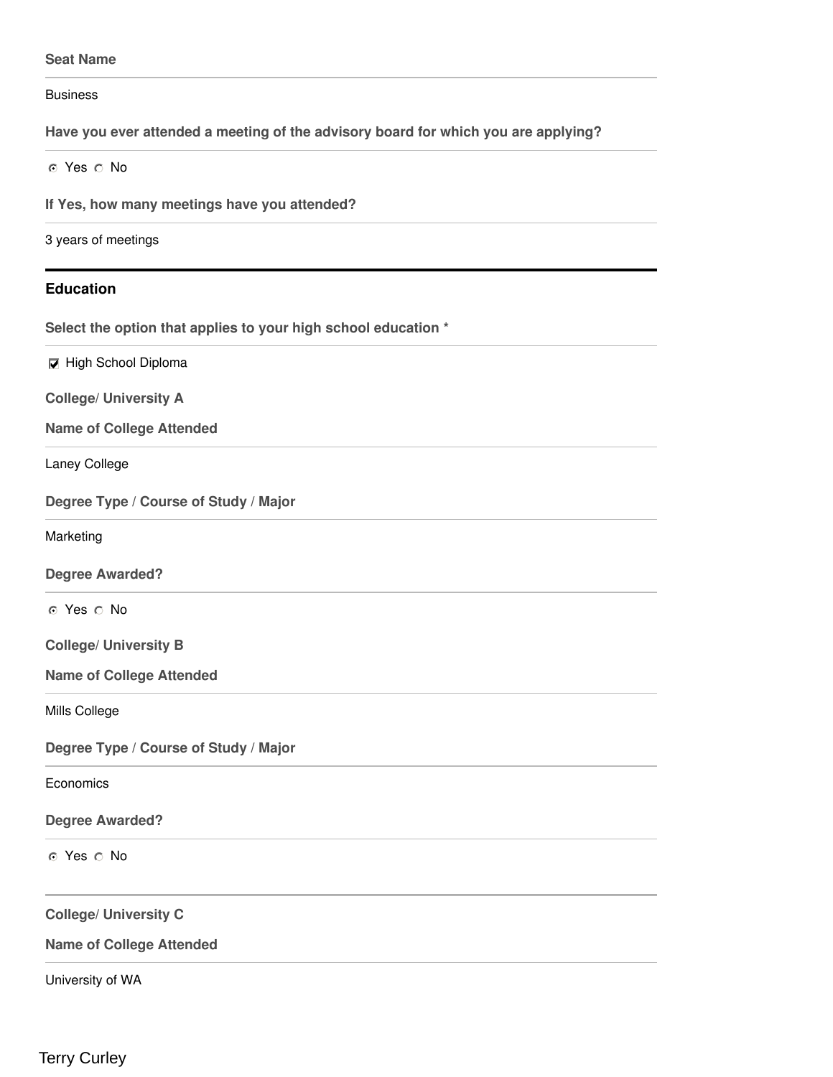#### **Seat Name**

**Business** 

**Have you ever attended a meeting of the advisory board for which you are applying?**

o Yes o No

**If Yes, how many meetings have you attended?**

3 years of meetings

#### **Education**

**Select the option that applies to your high school education \***

**High School Diploma** 

**College/ University A**

**Name of College Attended**

Laney College

**Degree Type / Course of Study / Major**

Marketing

**Degree Awarded?**

o Yes o No

**College/ University B**

**Name of College Attended**

Mills College

**Degree Type / Course of Study / Major**

**Economics** 

#### **Degree Awarded?**

o Yes o No

**College/ University C**

**Name of College Attended**

University of WA

Terry Curley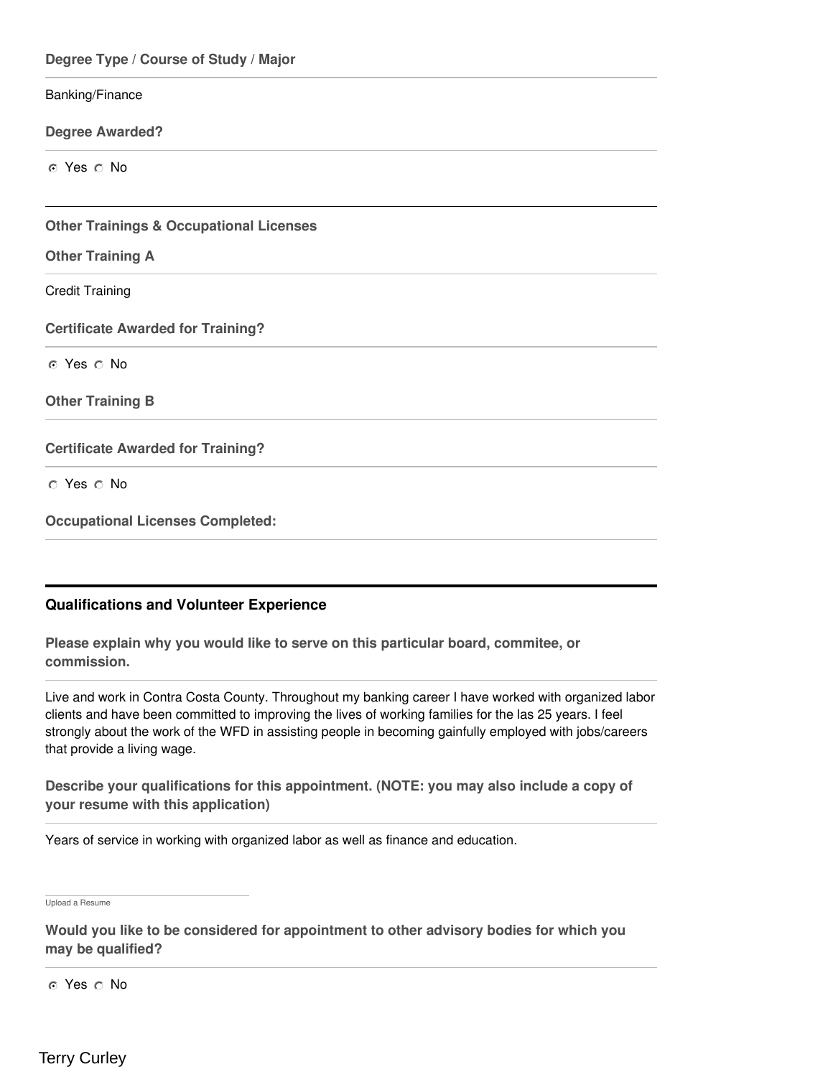| Degree Type / Course of Study / Major              |
|----------------------------------------------------|
| Banking/Finance                                    |
| <b>Degree Awarded?</b>                             |
| ⊙ Yes ⊙ No                                         |
| <b>Other Trainings &amp; Occupational Licenses</b> |
| <b>Other Training A</b>                            |
| <b>Credit Training</b>                             |
| <b>Certificate Awarded for Training?</b>           |
| ⊙ Yes ⊙ No                                         |
| <b>Other Training B</b>                            |
| <b>Certificate Awarded for Training?</b>           |
| O Yes O No                                         |
| <b>Occupational Licenses Completed:</b>            |

# **Qualifications and Volunteer Experience**

**Please explain why you would like to serve on this particular board, commitee, or commission.**

Live and work in Contra Costa County. Throughout my banking career I have worked with organized labor clients and have been committed to improving the lives of working families for the las 25 years. I feel strongly about the work of the WFD in assisting people in becoming gainfully employed with jobs/careers that provide a living wage.

**Describe your qualifications for this appointment. (NOTE: you may also include a copy of your resume with this application)**

Years of service in working with organized labor as well as finance and education.

Upload a Resume

**Would you like to be considered for appointment to other advisory bodies for which you may be qualified?**

o Yes o No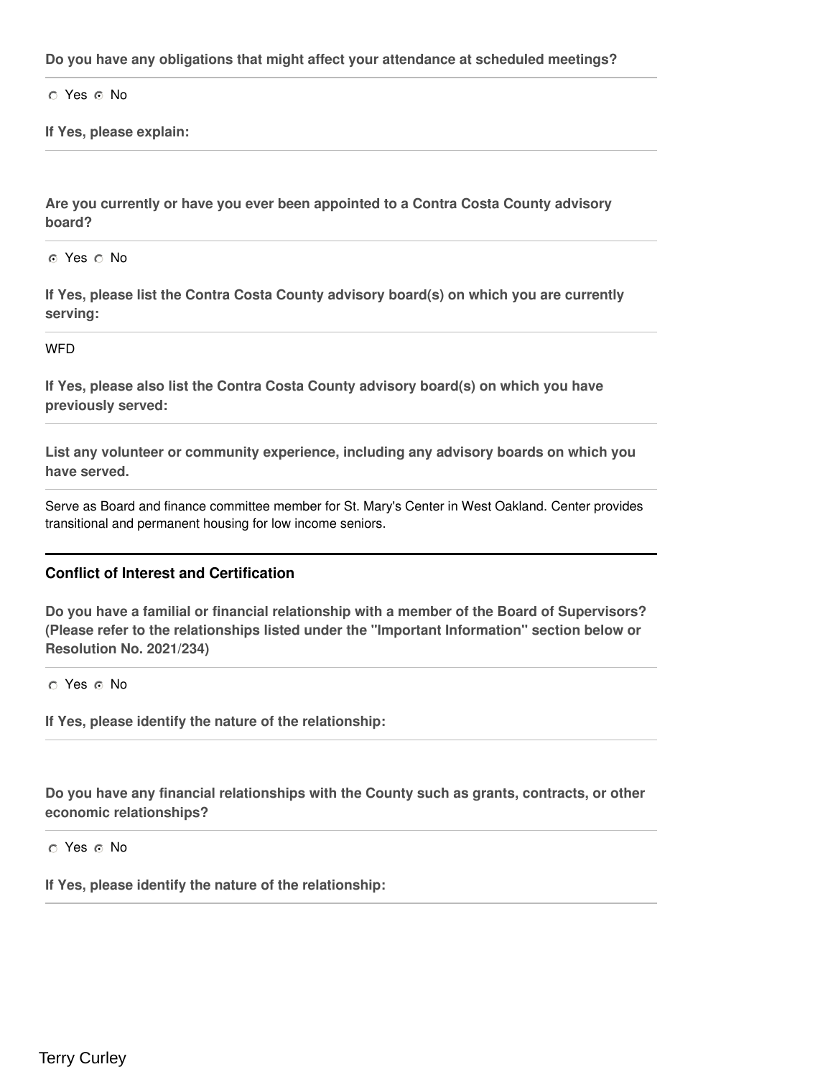**Do you have any obligations that might affect your attendance at scheduled meetings?**

 $\cap$  Yes  $\cap$  No

**If Yes, please explain:**

**Are you currently or have you ever been appointed to a Contra Costa County advisory board?**

o Yes o No

**If Yes, please list the Contra Costa County advisory board(s) on which you are currently serving:**

**WFD** 

**If Yes, please also list the Contra Costa County advisory board(s) on which you have previously served:**

**List any volunteer or community experience, including any advisory boards on which you have served.**

Serve as Board and finance committee member for St. Mary's Center in West Oakland. Center provides transitional and permanent housing for low income seniors.

#### **Conflict of Interest and Certification**

**Do you have a familial or financial relationship with a member of the Board of Supervisors? (Please refer to the relationships listed under the "Important Information" section below or Resolution No. 2021/234)**

 $\circ$  Yes  $\circ$  No

**If Yes, please identify the nature of the relationship:**

**Do you have any financial relationships with the County such as grants, contracts, or other economic relationships?**

 $\circ$  Yes  $\circ$  No

**If Yes, please identify the nature of the relationship:**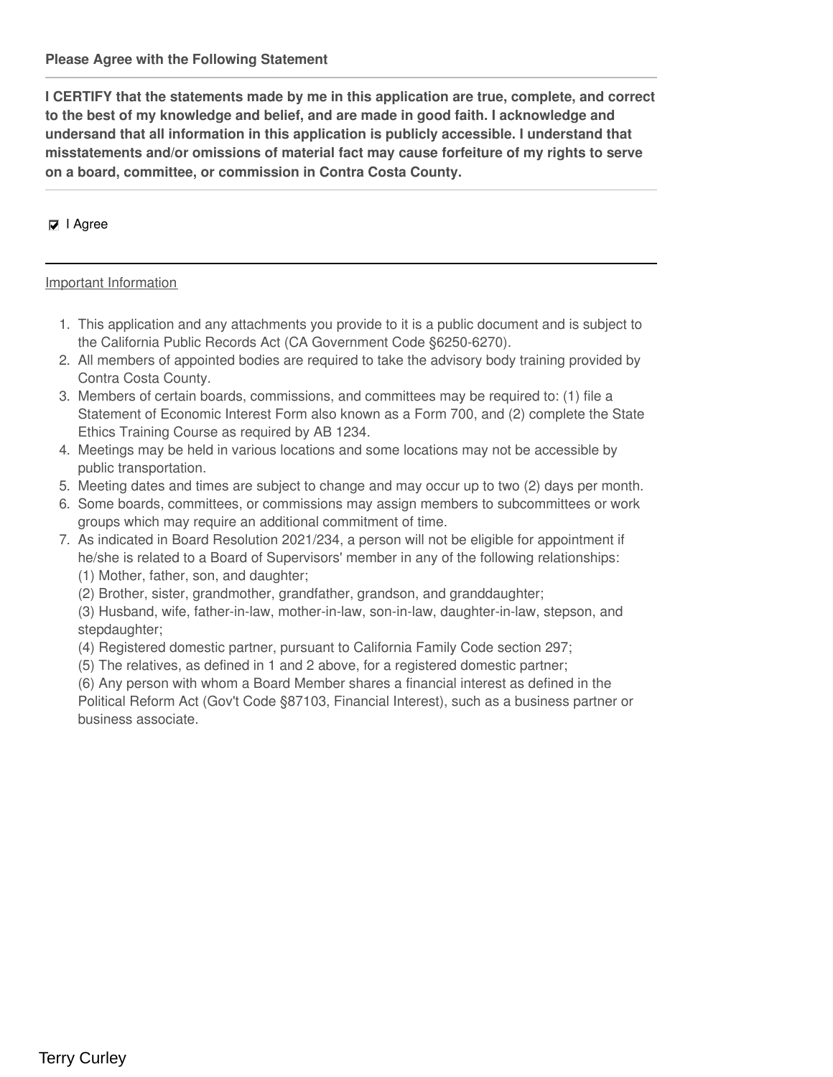**I CERTIFY that the statements made by me in this application are true, complete, and correct to the best of my knowledge and belief, and are made in good faith. I acknowledge and undersand that all information in this application is publicly accessible. I understand that misstatements and/or omissions of material fact may cause forfeiture of my rights to serve on a board, committee, or commission in Contra Costa County.**

### $□$  I Agree

#### Important Information

- 1. This application and any attachments you provide to it is a public document and is subject to the California Public Records Act (CA Government Code §6250-6270).
- 2. All members of appointed bodies are required to take the advisory body training provided by Contra Costa County.
- 3. Members of certain boards, commissions, and committees may be required to: (1) file a Statement of Economic Interest Form also known as a Form 700, and (2) complete the State Ethics Training Course as required by AB 1234.
- 4. Meetings may be held in various locations and some locations may not be accessible by public transportation.
- 5. Meeting dates and times are subject to change and may occur up to two (2) days per month.
- 6. Some boards, committees, or commissions may assign members to subcommittees or work groups which may require an additional commitment of time.
- 7. As indicated in Board Resolution 2021/234, a person will not be eligible for appointment if he/she is related to a Board of Supervisors' member in any of the following relationships: (1) Mother, father, son, and daughter;
	- (2) Brother, sister, grandmother, grandfather, grandson, and granddaughter;
	- (3) Husband, wife, father-in-law, mother-in-law, son-in-law, daughter-in-law, stepson, and stepdaughter;
	- (4) Registered domestic partner, pursuant to California Family Code section 297;
	- (5) The relatives, as defined in 1 and 2 above, for a registered domestic partner;

(6) Any person with whom a Board Member shares a financial interest as defined in the Political Reform Act (Gov't Code §87103, Financial Interest), such as a business partner or business associate.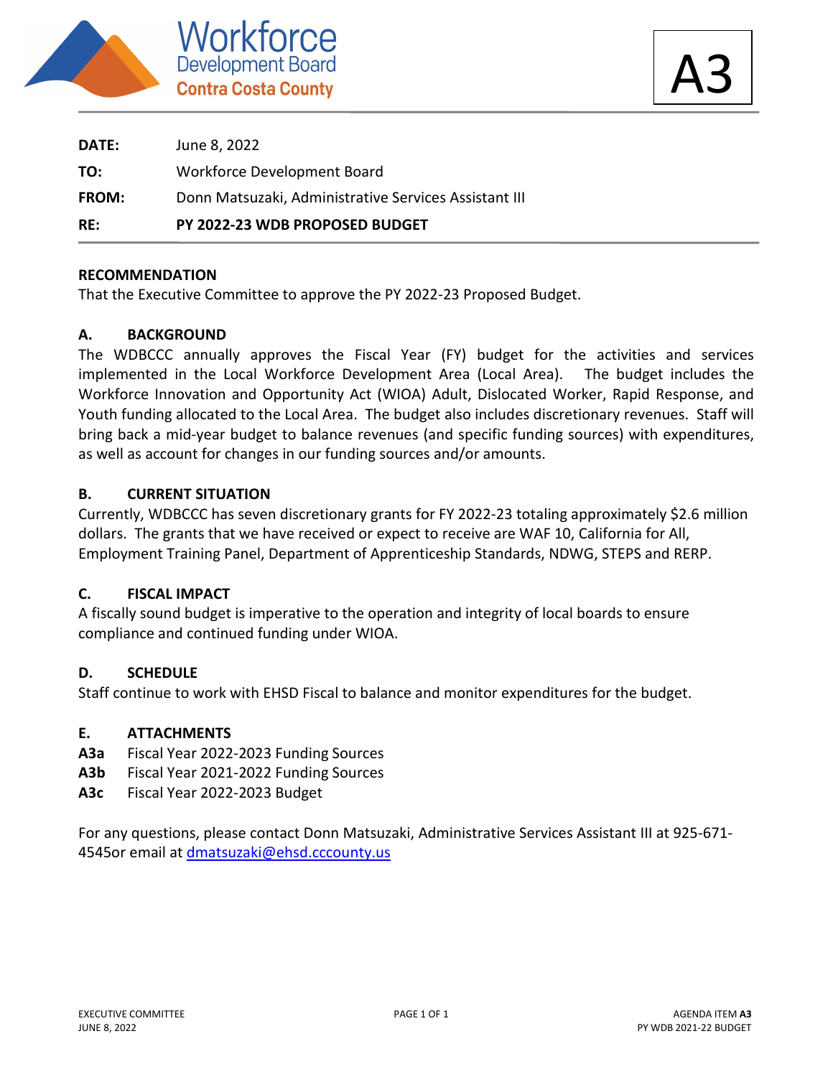

A3

| RE:          | PY 2022-23 WDB PROPOSED BUDGET                        |
|--------------|-------------------------------------------------------|
| <b>FROM:</b> | Donn Matsuzaki, Administrative Services Assistant III |
| TO:          | Workforce Development Board                           |
| <b>DATE:</b> | June 8, 2022                                          |

### **RECOMMENDATION**

That the Executive Committee to approve the PY 2022-23 Proposed Budget.

# **A. BACKGROUND**

The WDBCCC annually approves the Fiscal Year (FY) budget for the activities and services implemented in the Local Workforce Development Area (Local Area). The budget includes the Workforce Innovation and Opportunity Act (WIOA) Adult, Dislocated Worker, Rapid Response, and Youth funding allocated to the Local Area. The budget also includes discretionary revenues. Staff will bring back a mid-year budget to balance revenues (and specific funding sources) with expenditures, as well as account for changes in our funding sources and/or amounts.

### **B. CURRENT SITUATION**

Currently, WDBCCC has seven discretionary grants for FY 2022-23 totaling approximately \$2.6 million dollars. The grants that we have received or expect to receive are WAF 10, California for All, Employment Training Panel, Department of Apprenticeship Standards, NDWG, STEPS and RERP.

#### **C. FISCAL IMPACT**

A fiscally sound budget is imperative to the operation and integrity of local boards to ensure compliance and continued funding under WIOA.

#### **D. SCHEDULE**

Staff continue to work with EHSD Fiscal to balance and monitor expenditures for the budget.

#### **E. ATTACHMENTS**

- **A3a** Fiscal Year 2022-2023 Funding Sources
- **A3b** Fiscal Year 2021-2022 Funding Sources
- **A3c** Fiscal Year 2022-2023 Budget

For any questions, please contact Donn Matsuzaki, Administrative Services Assistant III at 925-671- 4545or email at dmatsuzaki@ehsd.cccounty.us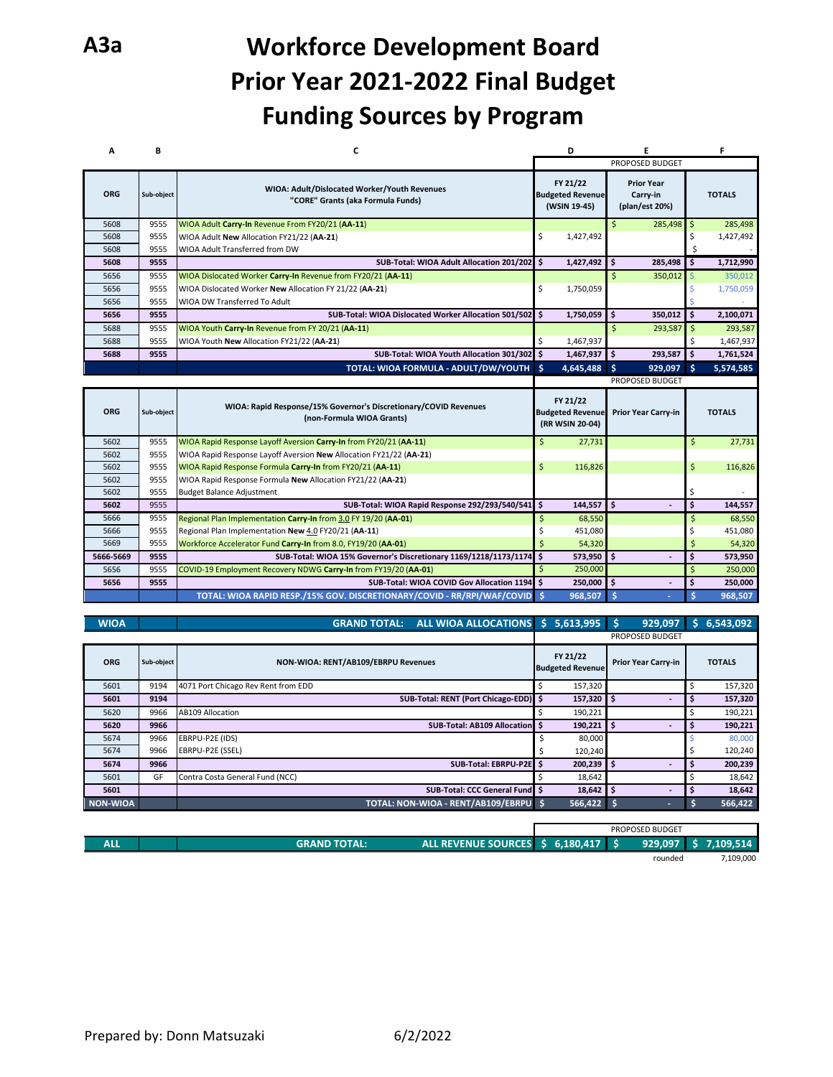# **A3a Workforce Development Board Prior Year 2021-2022 Final Budget Funding Sources by Program**

| A          | В          | c                                                                                                                          |            | D                                                      | Ε                  |                                                 |              | F                  |
|------------|------------|----------------------------------------------------------------------------------------------------------------------------|------------|--------------------------------------------------------|--------------------|-------------------------------------------------|--------------|--------------------|
|            |            |                                                                                                                            |            |                                                        |                    | PROPOSED BUDGET                                 |              |                    |
| <b>ORG</b> | Sub-object | WIOA: Adult/Dislocated Worker/Youth Revenues<br>"CORE" Grants (aka Formula Funds)                                          |            | FY 21/22<br><b>Budgeted Revenue</b><br>(WSIN 19-45)    |                    | <b>Prior Year</b><br>Carry-in<br>(plan/est 20%) |              | <b>TOTALS</b>      |
| 5608       | 9555       | WIOA Adult Carry-In Revenue From FY20/21 (AA-11)                                                                           |            |                                                        | $\mathsf{\hat{S}}$ | 285,498                                         | \$           | 285,498            |
| 5608       | 9555       | WIOA Adult New Allocation FY21/22 (AA-21)                                                                                  | \$         | 1,427,492                                              |                    |                                                 | \$           | 1,427,492          |
| 5608       | 9555       | WIOA Adult Transferred from DW                                                                                             |            |                                                        |                    |                                                 | Ś            |                    |
| 5608       | 9555       | SUB-Total: WIOA Adult Allocation 201/202 \$                                                                                |            | 1,427,492                                              | \$                 | 285,498                                         | ١\$          | 1,712,990          |
| 5656       | 9555       | WIOA Dislocated Worker Carry-In Revenue from FY20/21 (AA-11)                                                               |            |                                                        | $\mathsf{\hat{S}}$ | 350,012                                         | '\$          | 350,012            |
| 5656       | 9555       | WIOA Dislocated Worker New Allocation FY 21/22 (AA-21)                                                                     | \$         | 1,750,059                                              |                    |                                                 |              | 1,750,059          |
| 5656       | 9555       | WIOA DW Transferred To Adult                                                                                               |            |                                                        |                    |                                                 |              |                    |
| 5656       | 9555       | SUB-Total: WIOA Dislocated Worker Allocation 501/502                                                                       | Ŝ.         | 1,750,059                                              | \$                 | 350,012                                         | l \$         | 2,100,071          |
| 5688       | 9555       | WIOA Youth Carry-In Revenue from FY 20/21 (AA-11)                                                                          |            |                                                        | $\zeta$            | 293,587                                         | $\mathsf{S}$ | 293,587            |
| 5688       | 9555       | WIOA Youth New Allocation FY21/22 (AA-21)                                                                                  | \$         | 1,467,937                                              |                    |                                                 | \$           | 1,467,937          |
| 5688       | 9555       | SUB-Total: WIOA Youth Allocation 301/302 \$                                                                                |            | 1,467,937                                              | \$                 | 293,587                                         | \$           | 1,761,524          |
|            |            | TOTAL: WIOA FORMULA - ADULT/DW/YOUTH \$                                                                                    |            | 4,645,488                                              | Ŝ                  | 929,097                                         | ∣ \$         | 5,574,585          |
|            |            |                                                                                                                            |            |                                                        |                    |                                                 |              |                    |
|            |            |                                                                                                                            |            |                                                        |                    | PROPOSED BUDGET                                 |              |                    |
| <b>ORG</b> | Sub-object | WIOA: Rapid Response/15% Governor's Discretionary/COVID Revenues<br>(non-Formula WIOA Grants)                              |            | FY 21/22<br><b>Budgeted Revenue</b><br>(RR WSIN 20-04) |                    | <b>Prior Year Carry-in</b>                      |              | <b>TOTALS</b>      |
| 5602       | 9555       | WIOA Rapid Response Layoff Aversion Carry-In from FY20/21 (AA-11)                                                          | \$         | 27,731                                                 |                    |                                                 | $\zeta$      | 27,731             |
| 5602       | 9555       | WIOA Rapid Response Layoff Aversion New Allocation FY21/22 (AA-21)                                                         |            |                                                        |                    |                                                 |              |                    |
| 5602       | 9555       | WIOA Rapid Response Formula Carry-In from FY20/21 (AA-11)                                                                  | \$         | 116,826                                                |                    |                                                 | \$           | 116,826            |
| 5602       | 9555       | WIOA Rapid Response Formula New Allocation FY21/22 (AA-21)                                                                 |            |                                                        |                    |                                                 |              |                    |
| 5602       | 9555       | <b>Budget Balance Adjustment</b>                                                                                           |            |                                                        |                    |                                                 | \$           |                    |
| 5602       | 9555       | SUB-Total: WIOA Rapid Response 292/293/540/541 \$                                                                          |            | 144,557                                                | \$                 |                                                 | \$           | 144,557            |
| 5666       | 9555       | Regional Plan Implementation Carry-In from 3.0 FY 19/20 (AA-01)                                                            | \$         | 68,550                                                 |                    |                                                 | $\ddot{s}$   | 68,550             |
| 5666       | 9555       | Regional Plan Implementation New 4.0 FY20/21 (AA-11)                                                                       | \$         | 451,080                                                |                    |                                                 | \$           | 451,080            |
| 5669       | 9555       | Workforce Accelerator Fund Carry-In from 8.0, FY19/20 (AA-01)                                                              | $\ddot{s}$ | 54,320                                                 |                    |                                                 | $\ddot{s}$   | 54,320             |
| 5666-5669  | 9555       | SUB-Total: WIOA 15% Governor's Discretionary 1169/1218/1173/1174                                                           | \$         | 573,950                                                | \$                 |                                                 | \$           | 573,950            |
| 5656       | 9555       | COVID-19 Employment Recovery NDWG Carry-In from FY19/20 (AA-01)                                                            | $\zeta$    | 250,000                                                |                    |                                                 | $\zeta$      | 250,000            |
| 5656       | 9555       | SUB-Total: WIOA COVID Gov Allocation 1194 \$<br>TOTAL: WIOA RAPID RESP./15% GOV. DISCRETIONARY/COVID - RR/RPI/WAF/COVID \$ |            | 250,000<br>968,507                                     | \$.<br>-Ś          |                                                 | \$<br>Ś      | 250,000<br>968,507 |

| <b>WIOA</b>     |            | <b>ALL WIOA ALLOCATIONS</b><br><b>GRAND TOTAL:</b> | S. | 5,613,995                           | 929.097                    |   | 6,543,092     |
|-----------------|------------|----------------------------------------------------|----|-------------------------------------|----------------------------|---|---------------|
|                 |            |                                                    |    |                                     | <b>PROPOSED BUDGET</b>     |   |               |
| <b>ORG</b>      | Sub-object | NON-WIOA: RENT/AB109/EBRPU Revenues                |    | FY 21/22<br><b>Budgeted Revenue</b> | <b>Prior Year Carry-in</b> |   | <b>TOTALS</b> |
| 5601            | 9194       | 4071 Port Chicago Rev Rent from EDD                |    | 157,320                             |                            |   | 157,320       |
| 5601            | 9194       | SUB-Total: RENT (Port Chicago-EDD) \$              |    | 157,320                             | ۱\$                        | s | 157,320       |
| 5620            | 9966       | <b>AB109 Allocation</b>                            |    | 190,221                             |                            |   | 190,221       |
| 5620            | 9966       | <b>SUB-Total: AB109 Allocation</b> \$              |    | 190,221                             | \$                         |   | 190,221       |
| 5674            | 9966       | EBRPU-P2E (IDS)                                    |    | 80,000                              |                            |   | 80,000        |
| 5674            | 9966       | EBRPU-P2E (SSEL)                                   |    | 120,240                             |                            |   | 120,240       |
| 5674            | 9966       | SUB-Total: EBRPU-P2E \$                            |    | 200,239 \$                          |                            |   | 200,239       |
| 5601            | GF         | Contra Costa General Fund (NCC)                    |    | 18,642                              |                            |   | 18,642        |
| 5601            |            | <b>SUB-Total: CCC General Funder</b> \$            |    | $18,642$ \$                         |                            |   | 18,642        |
| <b>NON-WIOA</b> |            | TOTAL: NON-WIOA - RENT/AB109/EBRPU \$              |    | 566,422                             |                            |   | 566,422       |

|            |                                                   |           | PROPOSED BUDGET                                                                                                     |           |
|------------|---------------------------------------------------|-----------|---------------------------------------------------------------------------------------------------------------------|-----------|
| <b>ALL</b> | <b>ALL REVENUE SOURCES</b><br><b>GRAND TOTAL:</b> | 6,180,417 | 929,097                                                                                                             | 109,514'  |
|            |                                                   |           | and the contract of the contract of the contract of the contract of the contract of the contract of the contract of | $-100000$ |

rounded 7,109,000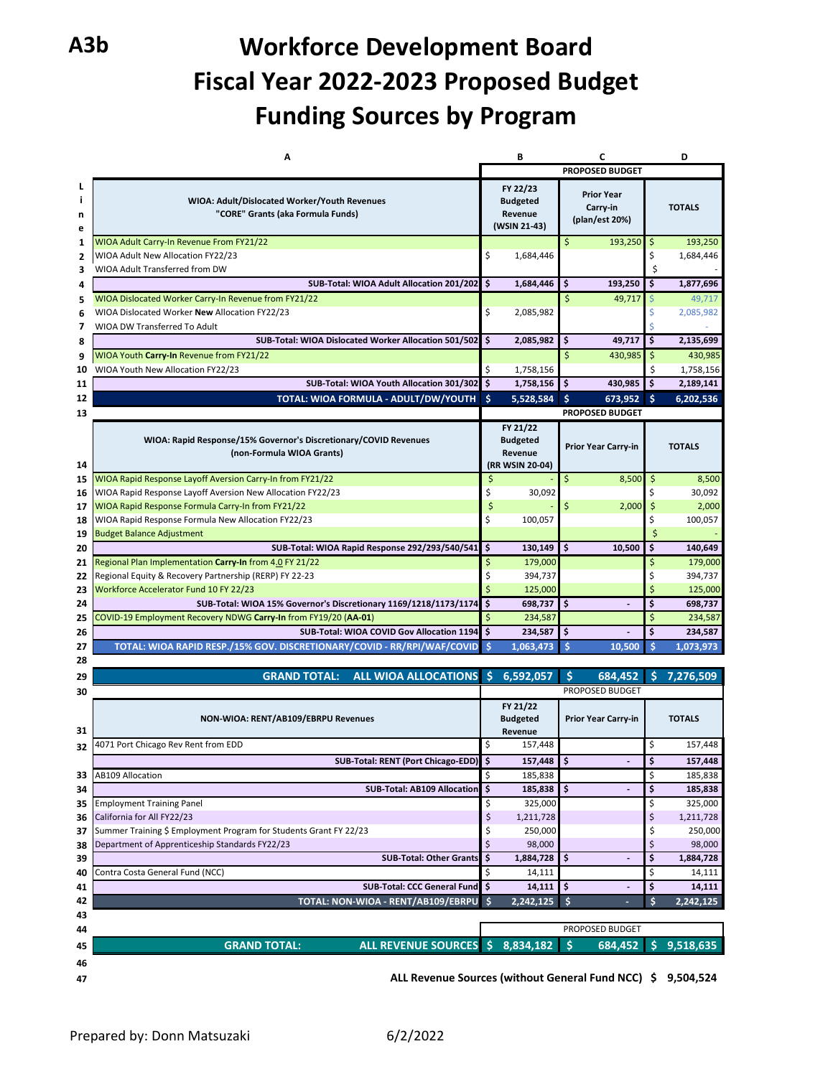# **A3b Workforce Development Board Fiscal Year 2022-2023 Proposed Budget Funding Sources by Program**

|                         | А                                                                       |         | B                |    |                              |          | D                   |
|-------------------------|-------------------------------------------------------------------------|---------|------------------|----|------------------------------|----------|---------------------|
|                         |                                                                         |         |                  |    | <b>PROPOSED BUDGET</b>       |          |                     |
| L                       |                                                                         |         | FY 22/23         |    |                              |          |                     |
| ÷                       | WIOA: Adult/Dislocated Worker/Youth Revenues                            |         | <b>Budgeted</b>  |    | <b>Prior Year</b>            |          | <b>TOTALS</b>       |
| n                       | "CORE" Grants (aka Formula Funds)                                       |         | Revenue          |    | Carry-in<br>(plan/est 20%)   |          |                     |
| e                       |                                                                         |         | (WSIN 21-43)     |    |                              |          |                     |
| 1                       | WIOA Adult Carry-In Revenue From FY21/22                                |         |                  | Ś  | 193,250                      | \$       | 193,250             |
| $\overline{\mathbf{2}}$ | WIOA Adult New Allocation FY22/23                                       | \$      | 1,684,446        |    |                              | \$       | 1,684,446           |
| 3                       | WIOA Adult Transferred from DW                                          |         |                  |    |                              | Ś        |                     |
| 4                       | SUB-Total: WIOA Adult Allocation 201/202                                | \$      | 1,684,446        | \$ | 193,250                      | \$       | 1,877,696           |
| 5                       | WIOA Dislocated Worker Carry-In Revenue from FY21/22                    |         |                  | \$ | 49,717                       | Ŝ.       | 49,717              |
| 6                       | WIOA Dislocated Worker New Allocation FY22/23                           | \$      | 2,085,982        |    |                              | \$       | 2,085,982           |
| 7                       | WIOA DW Transferred To Adult                                            |         |                  |    |                              |          |                     |
| 8                       | SUB-Total: WIOA Dislocated Worker Allocation 501/502                    | Ś.      | 2,085,982        | \$ | 49,717                       | \$       | 2,135,699           |
| 9                       | WIOA Youth Carry-In Revenue from FY21/22                                |         |                  | \$ | 430,985                      | \$       | 430,985             |
| 10                      | WIOA Youth New Allocation FY22/23                                       | \$      | 1,758,156        |    |                              | \$       | 1,758,156           |
| 11                      | SUB-Total: WIOA Youth Allocation 301/302                                | \$      | 1,758,156        | \$ | 430,985                      | \$.      | 2,189,141           |
| 12                      | TOTAL: WIOA FORMULA - ADULT/DW/YOUTH                                    | ∣ Ś     | 5,528,584        | Ś  | 673,952                      | ∣ Ś      | 6,202,536           |
| 13                      |                                                                         |         |                  |    | <b>PROPOSED BUDGET</b>       |          |                     |
|                         |                                                                         |         | FY 21/22         |    |                              |          |                     |
|                         | WIOA: Rapid Response/15% Governor's Discretionary/COVID Revenues        |         | <b>Budgeted</b>  |    | Prior Year Carry-in          |          | <b>TOTALS</b>       |
| 14                      | (non-Formula WIOA Grants)                                               |         | Revenue          |    |                              |          |                     |
| 15                      | WIOA Rapid Response Layoff Aversion Carry-In from FY21/22               | \$      | (RR WSIN 20-04)  | \$ | 8,500                        | $\zeta$  | 8,500               |
| 16                      | WIOA Rapid Response Layoff Aversion New Allocation FY22/23              | \$      | 30,092           |    |                              | \$       | 30,092              |
| 17                      | WIOA Rapid Response Formula Carry-In from FY21/22                       | \$      |                  | \$ | 2,000                        | $\zeta$  | 2,000               |
| 18                      | WIOA Rapid Response Formula New Allocation FY22/23                      | \$      | 100,057          |    |                              | \$       | 100,057             |
| 19                      | <b>Budget Balance Adjustment</b>                                        |         |                  |    |                              | Ś        |                     |
| 20                      | SUB-Total: WIOA Rapid Response 292/293/540/541                          | \$      | 130,149          | \$ | 10,500                       | \$       | 140,649             |
| 21                      | Regional Plan Implementation Carry-In from 4.0 FY 21/22                 | \$      | 179,000          |    |                              | \$       | 179,000             |
| 22                      | Regional Equity & Recovery Partnership (RERP) FY 22-23                  | \$      | 394,737          |    |                              | \$       | 394,737             |
| 23                      | Workforce Accelerator Fund 10 FY 22/23                                  |         | 125,000          |    |                              |          | 125,000             |
| 24                      | SUB-Total: WIOA 15% Governor's Discretionary 1169/1218/1173/1174        | Ś       | 698,737          | \$ |                              | \$       | 698,737             |
| 25                      | COVID-19 Employment Recovery NDWG Carry-In from FY19/20 (AA-01)         | \$      | 234,587          |    |                              | \$       | 234,587             |
| 26                      | SUB-Total: WIOA COVID Gov Allocation 1194                               | \$      | 234,587          | \$ |                              | \$       | 234,587             |
| 27                      | TOTAL: WIOA RAPID RESP./15% GOV. DISCRETIONARY/COVID - RR/RPI/WAF/COVID | Š.      | 1,063,473        | Ś  | 10,500                       | Ś        | 1,073,973           |
| 28                      |                                                                         |         |                  |    |                              |          |                     |
| 29                      | ALL WIOA ALLOCATIONS \$<br><b>GRAND TOTAL:</b>                          |         | 6,592,057        | \$ | 684.452                      | Ś        | 7,276,509           |
| 30                      |                                                                         |         |                  |    | PROPOSED BUDGET              |          |                     |
|                         |                                                                         |         | FY 21/22         |    |                              |          |                     |
|                         | NON-WIOA: RENT/AB109/EBRPU Revenues                                     |         | <b>Budgeted</b>  |    | Prior Year Carry-in          |          | <b>TOTALS</b>       |
| 31                      |                                                                         |         | Revenue          |    |                              |          |                     |
| 32                      | 4071 Port Chicago Rev Rent from EDD                                     | \$      | 157,448          |    |                              | \$       | 157,448             |
|                         | SUB-Total: RENT (Port Chicago-EDD)                                      |         | 157,448          | ₹  |                              | ⇒        | 157,448             |
| 33                      | <b>AB109 Allocation</b>                                                 | \$      | 185,838          |    |                              | \$       | 185,838             |
| 34                      | <b>SUB-Total: AB109 Allocation</b>                                      | \$      | 185,838          | \$ | $\qquad \qquad \blacksquare$ | \$       | 185,838             |
| 35                      | <b>Employment Training Panel</b>                                        | \$      | 325,000          |    |                              | \$       | 325,000             |
| 36                      | California for All FY22/23                                              | \$      | 1,211,728        |    |                              | \$       | 1,211,728           |
| 37                      | Summer Training \$ Employment Program for Students Grant FY 22/23       | \$      | 250,000          |    |                              | \$       | 250,000             |
| 38                      | Department of Apprenticeship Standards FY22/23                          | \$      | 98,000           |    |                              | \$<br>\$ | 98,000              |
| 39                      | <b>SUB-Total: Other Grants</b>                                          | \$<br>Ś | 1,884,728        | \$ |                              | \$       | 1,884,728           |
| 40                      | Contra Costa General Fund (NCC)<br><b>SUB-Total: CCC General Fund</b>   | \$      | 14,111<br>14,111 | \$ |                              | \$       | 14,111              |
| 41                      |                                                                         | Ŝ       | 2,242,125        | \$ |                              | \$       | 14,111<br>2,242,125 |
| 42<br>43                | TOTAL: NON-WIOA - RENT/AB109/EBRPU                                      |         |                  |    |                              |          |                     |
| 44                      |                                                                         |         |                  |    | PROPOSED BUDGET              |          |                     |
|                         | <b>GRAND TOTAL:</b><br>ALL REVENUE SOURCES \$                           |         | 8,834,182        | \$ | 684,452                      | \$       | 9,518,635           |
| 45                      |                                                                         |         |                  |    |                              |          |                     |
| 46                      |                                                                         |         |                  |    |                              |          |                     |
| 47                      | ALL Revenue Sources (without General Fund NCC) \$                       |         |                  |    |                              |          | 9,504,524           |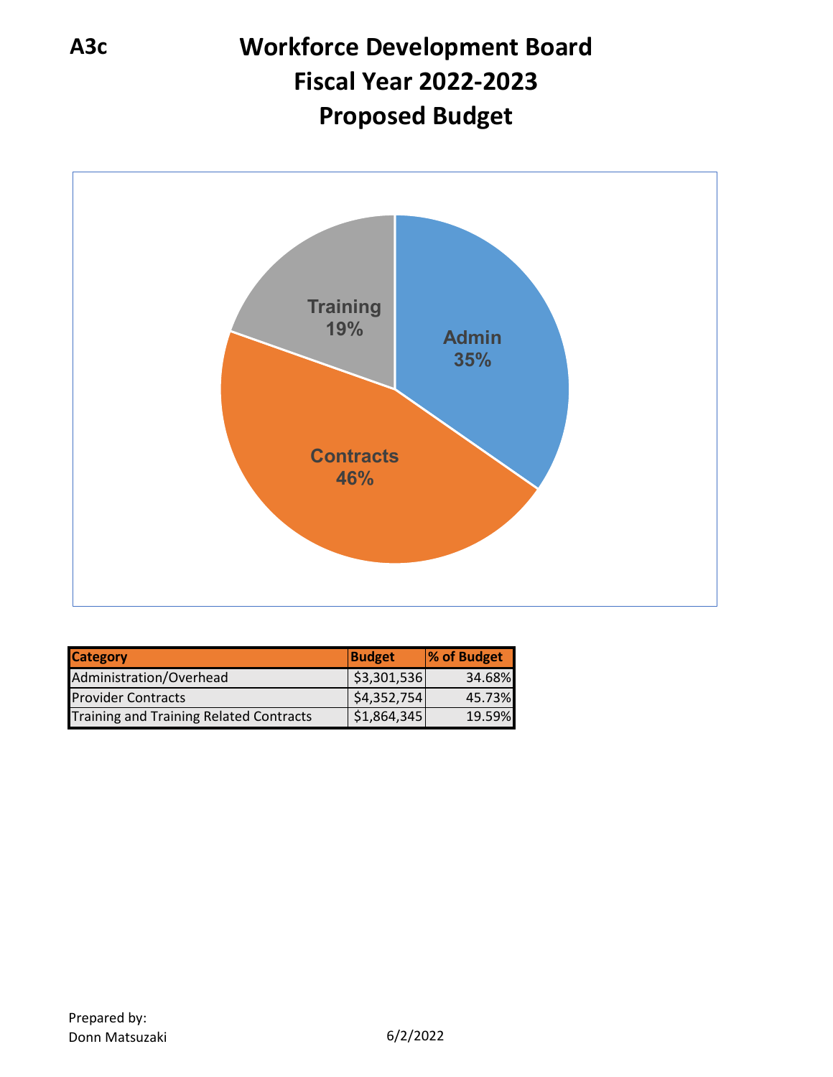# **A3c Workforce Development Board Fiscal Year 2022-2023 Proposed Budget**



| <b>Category</b>                                | <b>Budget</b> | % of Budget |
|------------------------------------------------|---------------|-------------|
| Administration/Overhead                        | \$3,301,536   | 34.68%      |
| <b>Provider Contracts</b>                      | \$4,352,754]  | 45.73%      |
| <b>Training and Training Related Contracts</b> | \$1,864,345   | 19.59%      |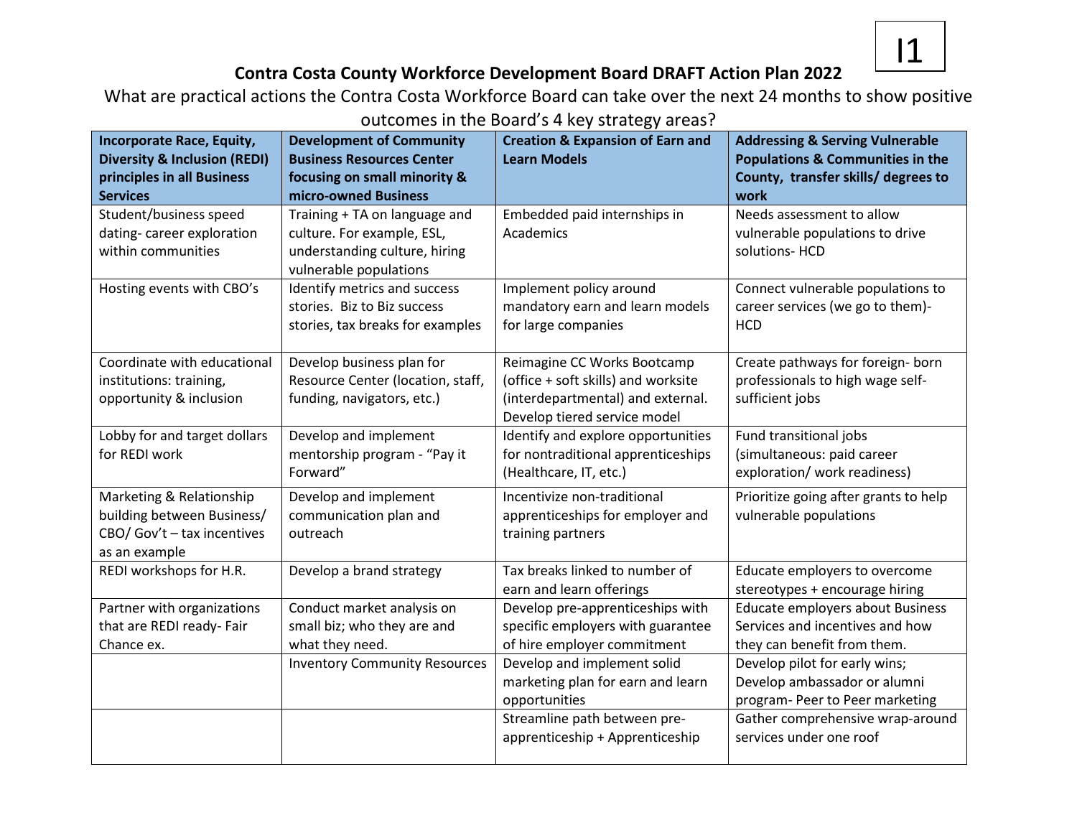

# **Contra Costa County Workforce Development Board DRAFT Action Plan 2022**

What are practical actions the Contra Costa Workforce Board can take over the next 24 months to show positive outcomes in the Board's 4 key strategy areas?

| <b>Incorporate Race, Equity,</b><br><b>Diversity &amp; Inclusion (REDI)</b><br>principles in all Business<br><b>Services</b> | <b>Development of Community</b><br><b>Business Resources Center</b><br>focusing on small minority &<br>micro-owned Business | <b>Creation &amp; Expansion of Earn and</b><br><b>Learn Models</b>                                                                      | <b>Addressing &amp; Serving Vulnerable</b><br><b>Populations &amp; Communities in the</b><br>County, transfer skills/ degrees to<br>work |
|------------------------------------------------------------------------------------------------------------------------------|-----------------------------------------------------------------------------------------------------------------------------|-----------------------------------------------------------------------------------------------------------------------------------------|------------------------------------------------------------------------------------------------------------------------------------------|
| Student/business speed<br>dating-career exploration<br>within communities                                                    | Training + TA on language and<br>culture. For example, ESL,<br>understanding culture, hiring<br>vulnerable populations      | Embedded paid internships in<br>Academics                                                                                               | Needs assessment to allow<br>vulnerable populations to drive<br>solutions- HCD                                                           |
| Hosting events with CBO's                                                                                                    | Identify metrics and success<br>stories. Biz to Biz success<br>stories, tax breaks for examples                             | Implement policy around<br>mandatory earn and learn models<br>for large companies                                                       | Connect vulnerable populations to<br>career services (we go to them)-<br><b>HCD</b>                                                      |
| Coordinate with educational<br>institutions: training,<br>opportunity & inclusion                                            | Develop business plan for<br>Resource Center (location, staff,<br>funding, navigators, etc.)                                | Reimagine CC Works Bootcamp<br>(office + soft skills) and worksite<br>(interdepartmental) and external.<br>Develop tiered service model | Create pathways for foreign- born<br>professionals to high wage self-<br>sufficient jobs                                                 |
| Lobby for and target dollars<br>for REDI work                                                                                | Develop and implement<br>mentorship program - "Pay it<br>Forward"                                                           | Identify and explore opportunities<br>for nontraditional apprenticeships<br>(Healthcare, IT, etc.)                                      | Fund transitional jobs<br>(simultaneous: paid career<br>exploration/ work readiness)                                                     |
| Marketing & Relationship<br>building between Business/<br>CBO/ Gov't - tax incentives<br>as an example                       | Develop and implement<br>communication plan and<br>outreach                                                                 | Incentivize non-traditional<br>apprenticeships for employer and<br>training partners                                                    | Prioritize going after grants to help<br>vulnerable populations                                                                          |
| REDI workshops for H.R.                                                                                                      | Develop a brand strategy                                                                                                    | Tax breaks linked to number of<br>earn and learn offerings                                                                              | Educate employers to overcome<br>stereotypes + encourage hiring                                                                          |
| Partner with organizations<br>that are REDI ready- Fair<br>Chance ex.                                                        | Conduct market analysis on<br>small biz; who they are and<br>what they need.                                                | Develop pre-apprenticeships with<br>specific employers with guarantee<br>of hire employer commitment                                    | Educate employers about Business<br>Services and incentives and how<br>they can benefit from them.                                       |
|                                                                                                                              | <b>Inventory Community Resources</b>                                                                                        | Develop and implement solid<br>marketing plan for earn and learn<br>opportunities<br>Streamline path between pre-                       | Develop pilot for early wins;<br>Develop ambassador or alumni<br>program- Peer to Peer marketing<br>Gather comprehensive wrap-around     |
|                                                                                                                              |                                                                                                                             | apprenticeship + Apprenticeship                                                                                                         | services under one roof                                                                                                                  |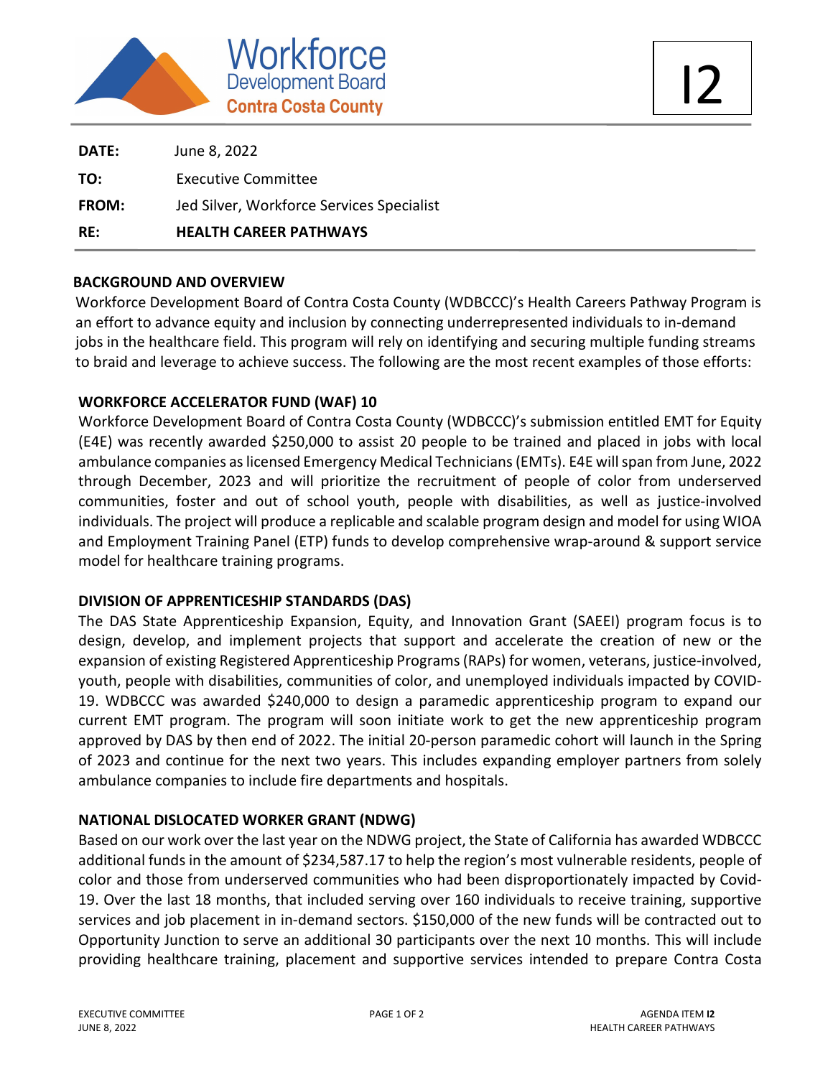

| RE:          | <b>HEALTH CAREER PATHWAYS</b>             |  |
|--------------|-------------------------------------------|--|
| <b>FROM:</b> | Jed Silver, Workforce Services Specialist |  |
| TO:          | <b>Executive Committee</b>                |  |
| DATE:        | June 8, 2022                              |  |

### **BACKGROUND AND OVERVIEW**

Workforce Development Board of Contra Costa County (WDBCCC)'s Health Careers Pathway Program is an effort to advance equity and inclusion by connecting underrepresented individuals to in-demand jobs in the healthcare field. This program will rely on identifying and securing multiple funding streams to braid and leverage to achieve success. The following are the most recent examples of those efforts:

### **WORKFORCE ACCELERATOR FUND (WAF) 10**

Workforce Development Board of Contra Costa County (WDBCCC)'s submission entitled EMT for Equity (E4E) was recently awarded \$250,000 to assist 20 people to be trained and placed in jobs with local ambulance companies as licensed Emergency Medical Technicians (EMTs). E4E will span from June, 2022 through December, 2023 and will prioritize the recruitment of people of color from underserved communities, foster and out of school youth, people with disabilities, as well as justice-involved individuals. The project will produce a replicable and scalable program design and model for using WIOA and Employment Training Panel (ETP) funds to develop comprehensive wrap-around & support service model for healthcare training programs.

# **DIVISION OF APPRENTICESHIP STANDARDS (DAS)**

The DAS State Apprenticeship Expansion, Equity, and Innovation Grant (SAEEI) program focus is to design, develop, and implement projects that support and accelerate the creation of new or the expansion of existing Registered Apprenticeship Programs (RAPs) for women, veterans, justice-involved, youth, people with disabilities, communities of color, and unemployed individuals impacted by COVID-19. WDBCCC was awarded \$240,000 to design a paramedic apprenticeship program to expand our current EMT program. The program will soon initiate work to get the new apprenticeship program approved by DAS by then end of 2022. The initial 20-person paramedic cohort will launch in the Spring of 2023 and continue for the next two years. This includes expanding employer partners from solely ambulance companies to include fire departments and hospitals.

# **NATIONAL DISLOCATED WORKER GRANT (NDWG)**

Based on our work over the last year on the NDWG project, the State of California has awarded WDBCCC additional funds in the amount of \$234,587.17 to help the region's most vulnerable residents, people of color and those from underserved communities who had been disproportionately impacted by Covid-19. Over the last 18 months, that included serving over 160 individuals to receive training, supportive services and job placement in in-demand sectors. \$150,000 of the new funds will be contracted out to Opportunity Junction to serve an additional 30 participants over the next 10 months. This will include providing healthcare training, placement and supportive services intended to prepare Contra Costa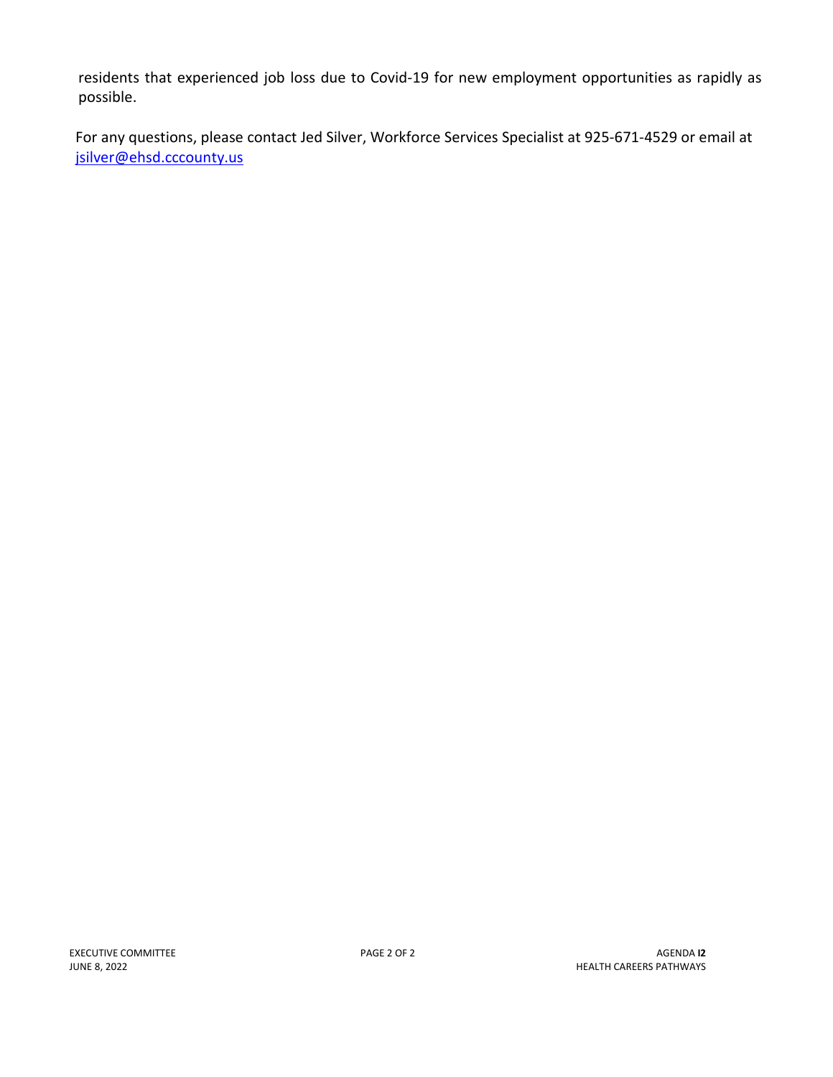residents that experienced job loss due to Covid-19 for new employment opportunities as rapidly as possible.

For any questions, please contact Jed Silver, Workforce Services Specialist at 925-671-4529 or email at jsilver@ehsd.cccounty.us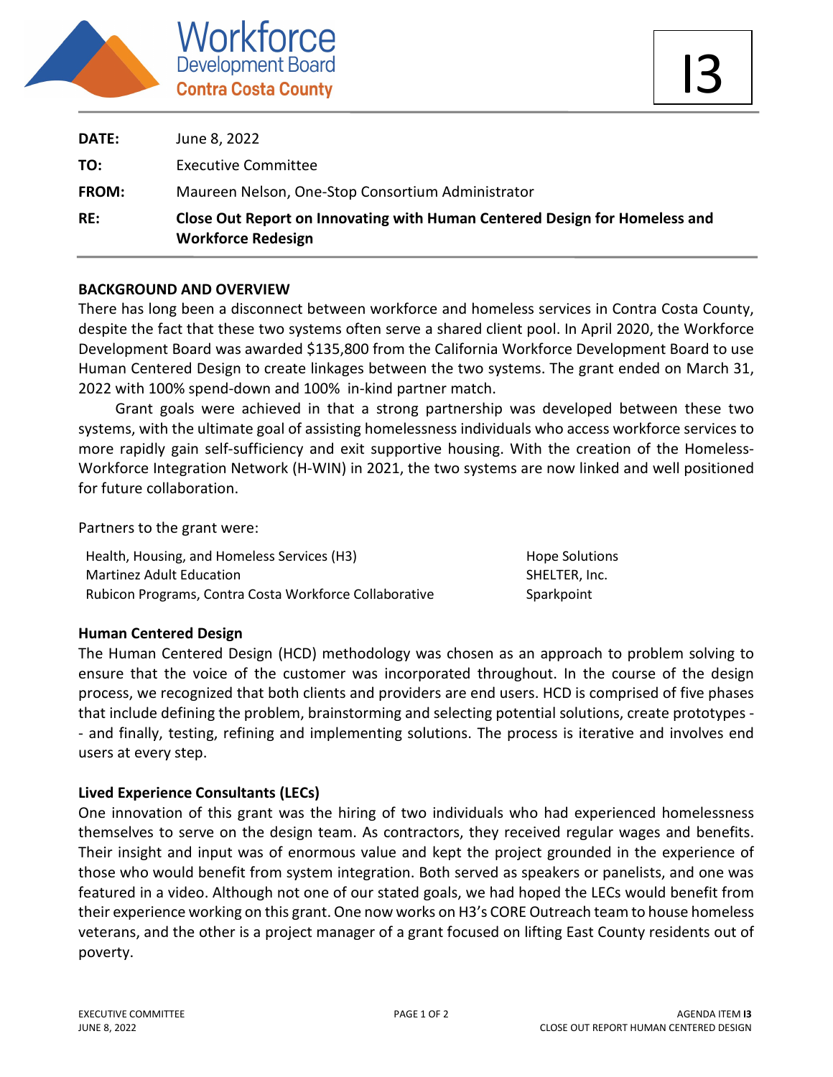

| RE:          | Close Out Report on Innovating with Human Centered Design for Homeless and<br><b>Workforce Redesign</b> |
|--------------|---------------------------------------------------------------------------------------------------------|
| <b>FROM:</b> | Maureen Nelson, One-Stop Consortium Administrator                                                       |
| TO:          | <b>Executive Committee</b>                                                                              |
| DATE:        | June 8, 2022                                                                                            |

### **BACKGROUND AND OVERVIEW**

There has long been a disconnect between workforce and homeless services in Contra Costa County, despite the fact that these two systems often serve a shared client pool. In April 2020, the Workforce Development Board was awarded \$135,800 from the California Workforce Development Board to use Human Centered Design to create linkages between the two systems. The grant ended on March 31, 2022 with 100% spend-down and 100% in-kind partner match.

 Grant goals were achieved in that a strong partnership was developed between these two systems, with the ultimate goal of assisting homelessness individuals who access workforce services to more rapidly gain self-sufficiency and exit supportive housing. With the creation of the Homeless-Workforce Integration Network (H-WIN) in 2021, the two systems are now linked and well positioned for future collaboration.

Partners to the grant were:

Health, Housing, and Homeless Services (H3) Martinez Adult Education Rubicon Programs, Contra Costa Workforce Collaborative Hope Solutions SHELTER, Inc. **Sparkpoint** 

# **Human Centered Design**

The Human Centered Design (HCD) methodology was chosen as an approach to problem solving to ensure that the voice of the customer was incorporated throughout. In the course of the design process, we recognized that both clients and providers are end users. HCD is comprised of five phases that include defining the problem, brainstorming and selecting potential solutions, create prototypes - - and finally, testing, refining and implementing solutions. The process is iterative and involves end users at every step.

# **Lived Experience Consultants (LECs)**

One innovation of this grant was the hiring of two individuals who had experienced homelessness themselves to serve on the design team. As contractors, they received regular wages and benefits. Their insight and input was of enormous value and kept the project grounded in the experience of those who would benefit from system integration. Both served as speakers or panelists, and one was featured in a video. Although not one of our stated goals, we had hoped the LECs would benefit from their experience working on this grant. One now works on H3's CORE Outreach team to house homeless veterans, and the other is a project manager of a grant focused on lifting East County residents out of poverty.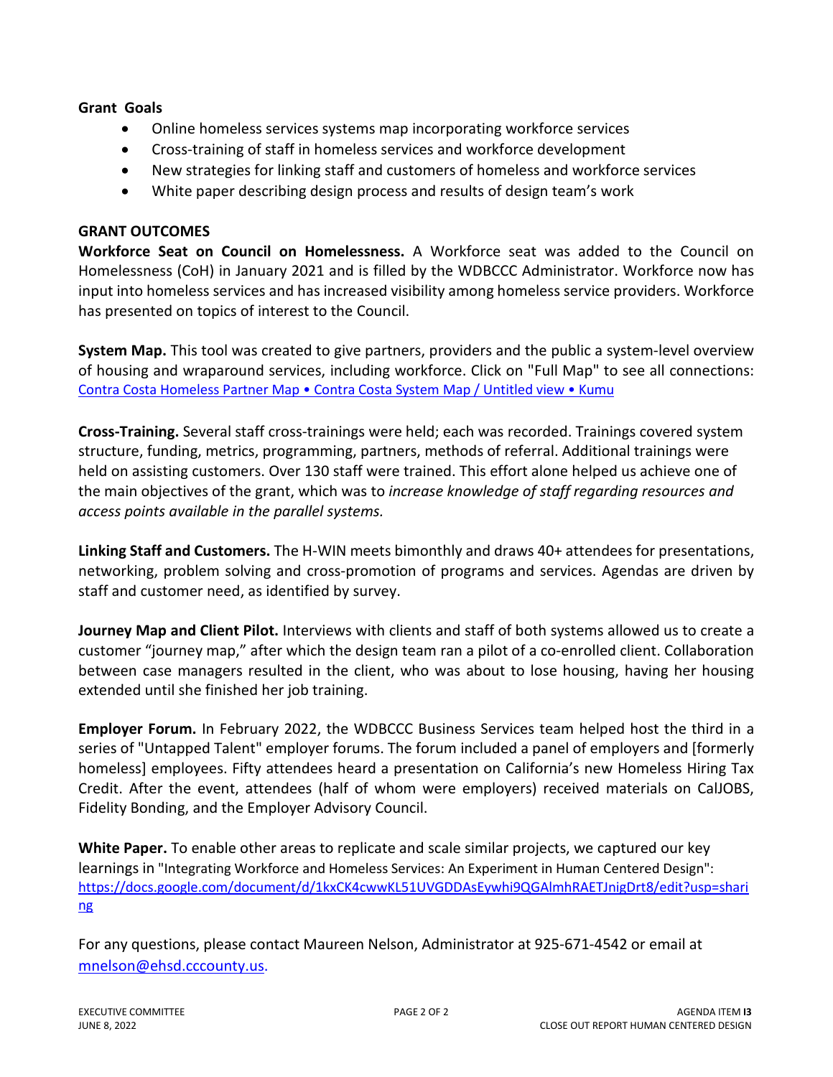# **Grant Goals**

- Online homeless services systems map incorporating workforce services
- Cross-training of staff in homeless services and workforce development
- New strategies for linking staff and customers of homeless and workforce services
- White paper describing design process and results of design team's work

# **GRANT OUTCOMES**

**Workforce Seat on Council on Homelessness.** A Workforce seat was added to the Council on Homelessness (CoH) in January 2021 and is filled by the WDBCCC Administrator. Workforce now has input into homeless services and has increased visibility among homeless service providers. Workforce has presented on topics of interest to the Council.

**System Map.** This tool was created to give partners, providers and the public a system-level overview of housing and wraparound services, including workforce. Click on "Full Map" to see all connections: [Contra Costa Homeless Partner Map • Contra Costa System Map / Untitled view • Kumu](https://embed.kumu.io/8a719a572a18d4d0f3a17bf55817f41d#contra-costa-system-map/workforce-services)

**Cross-Training.** Several staff cross-trainings were held; each was recorded. Trainings covered system structure, funding, metrics, programming, partners, methods of referral. Additional trainings were held on assisting customers. Over 130 staff were trained. This effort alone helped us achieve one of the main objectives of the grant, which was to *increase knowledge of staff regarding resources and access points available in the parallel systems.*

**Linking Staff and Customers.** The H-WIN meets bimonthly and draws 40+ attendees for presentations, networking, problem solving and cross-promotion of programs and services. Agendas are driven by staff and customer need, as identified by survey.

**Journey Map and Client Pilot.** Interviews with clients and staff of both systems allowed us to create a customer "journey map," after which the design team ran a pilot of a co-enrolled client. Collaboration between case managers resulted in the client, who was about to lose housing, having her housing extended until she finished her job training.

**Employer Forum.** In February 2022, the WDBCCC Business Services team helped host the third in a series of "Untapped Talent" employer forums. The forum included a panel of employers and [formerly homeless] employees. Fifty attendees heard a presentation on California's new Homeless Hiring Tax Credit. After the event, attendees (half of whom were employers) received materials on CalJOBS, Fidelity Bonding, and the Employer Advisory Council.

**White Paper.** To enable other areas to replicate and scale similar projects, we captured our key learnings in "Integrating Workforce and Homeless Services: An Experiment in Human Centered Design": [https://docs.google.com/document/d/1kxCK4cwwKL51UVGDDAsEywhi9QGAlmhRAETJnigDrt8/edit?usp=shari](https://docs.google.com/document/d/1kxCK4cwwKL51UVGDDAsEywhi9QGAlmhRAETJnigDrt8/edit?usp=sharing) [ng](https://docs.google.com/document/d/1kxCK4cwwKL51UVGDDAsEywhi9QGAlmhRAETJnigDrt8/edit?usp=sharing)

For any questions, please contact Maureen Nelson, Administrator at 925-671-4542 or email at [mnelson@ehsd.cccounty.us.](mailto:mnelson@ehsd.cccounty.us)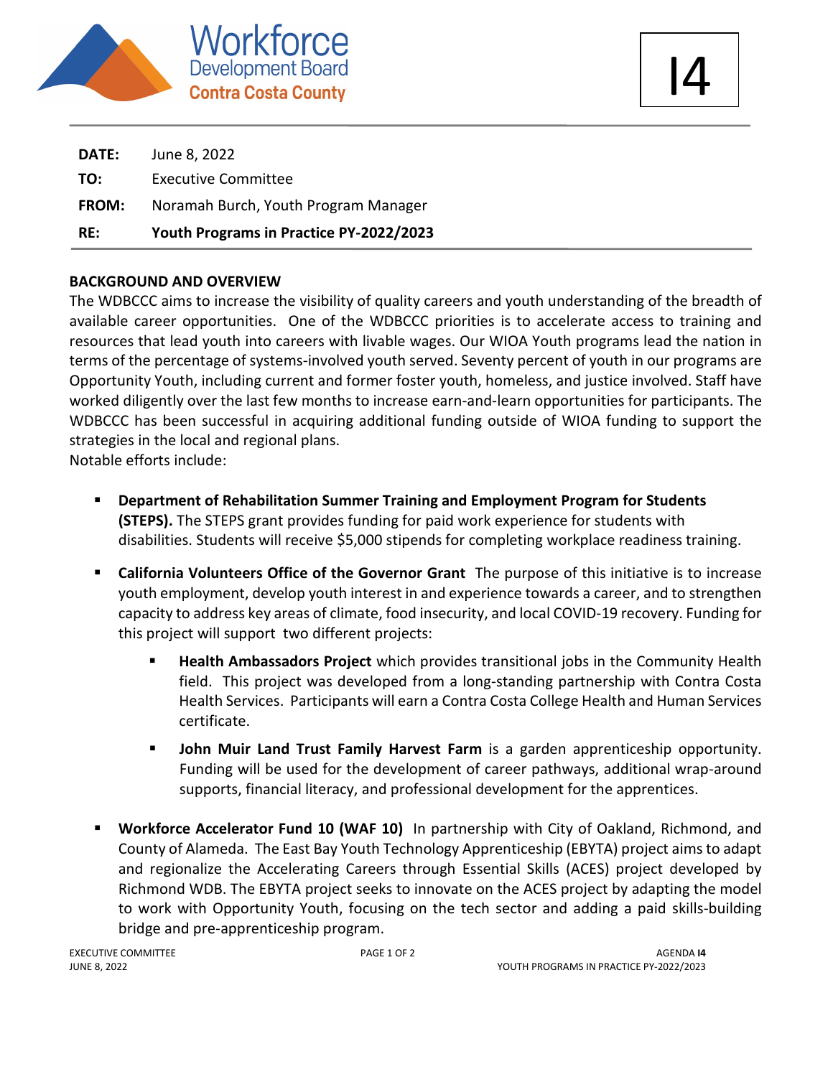

| RE:          | Youth Programs in Practice PY-2022/2023 |
|--------------|-----------------------------------------|
| <b>FROM:</b> | Noramah Burch, Youth Program Manager    |
| TO:          | <b>Executive Committee</b>              |
| <b>DATE:</b> | June 8, 2022                            |

# **BACKGROUND AND OVERVIEW**

The WDBCCC aims to increase the visibility of quality careers and youth understanding of the breadth of available career opportunities. One of the WDBCCC priorities is to accelerate access to training and resources that lead youth into careers with livable wages. Our WIOA Youth programs lead the nation in terms of the percentage of systems-involved youth served. Seventy percent of youth in our programs are Opportunity Youth, including current and former foster youth, homeless, and justice involved. Staff have worked diligently over the last few months to increase earn-and-learn opportunities for participants. The WDBCCC has been successful in acquiring additional funding outside of WIOA funding to support the strategies in the local and regional plans.

Notable efforts include:

- **Department of Rehabilitation Summer Training and Employment Program for Students (STEPS).** The STEPS grant provides funding for paid work experience for students with disabilities. Students will receive \$5,000 stipends for completing workplace readiness training.
- **California Volunteers Office of the Governor Grant** The purpose of this initiative is to increase youth employment, develop youth interest in and experience towards a career, and to strengthen capacity to address key areas of climate, food insecurity, and local COVID-19 recovery. Funding for this project will support two different projects:
	- **Health Ambassadors Project** which provides transitional jobs in the Community Health field. This project was developed from a long-standing partnership with Contra Costa Health Services. Participants will earn a Contra Costa College Health and Human Services certificate.
	- **John Muir Land Trust Family Harvest Farm** is a garden apprenticeship opportunity. Funding will be used for the development of career pathways, additional wrap-around supports, financial literacy, and professional development for the apprentices.
- **Workforce Accelerator Fund 10 (WAF 10)** In partnership with City of Oakland, Richmond, and County of Alameda. The East Bay Youth Technology Apprenticeship (EBYTA) project aims to adapt and regionalize the Accelerating Careers through Essential Skills (ACES) project developed by Richmond WDB. The EBYTA project seeks to innovate on the ACES project by adapting the model to work with Opportunity Youth, focusing on the tech sector and adding a paid skills-building bridge and pre-apprenticeship program.